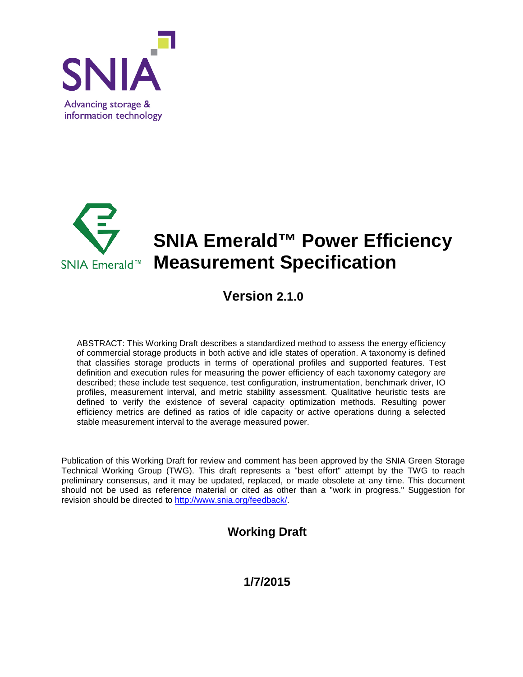



# **SNIA Emerald™ Power Efficiency SNIA Emerald™ Measurement Specification**

## **Version 2.1.0**

ABSTRACT: This Working Draft describes a standardized method to assess the energy efficiency of commercial storage products in both active and idle states of operation. A taxonomy is defined that classifies storage products in terms of operational profiles and supported features. Test definition and execution rules for measuring the power efficiency of each taxonomy category are described; these include test sequence, test configuration, instrumentation, benchmark driver, IO profiles, measurement interval, and metric stability assessment. Qualitative heuristic tests are defined to verify the existence of several capacity optimization methods. Resulting power efficiency metrics are defined as ratios of idle capacity or active operations during a selected stable measurement interval to the average measured power.

Publication of this Working Draft for review and comment has been approved by the SNIA Green Storage Technical Working Group (TWG). This draft represents a "best effort" attempt by the TWG to reach preliminary consensus, and it may be updated, replaced, or made obsolete at any time. This document should not be used as reference material or cited as other than a "work in progress." Suggestion for revision should be directed to [http://www.snia.org/feedback/.](http://www.snia.org/feedback/)

## **Working Draft**

## **1/7/2015**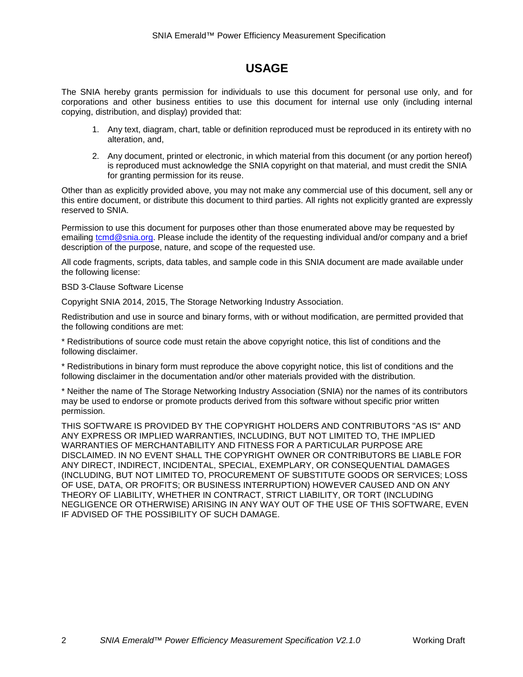## **USAGE**

The SNIA hereby grants permission for individuals to use this document for personal use only, and for corporations and other business entities to use this document for internal use only (including internal copying, distribution, and display) provided that:

- 1. Any text, diagram, chart, table or definition reproduced must be reproduced in its entirety with no alteration, and,
- 2. Any document, printed or electronic, in which material from this document (or any portion hereof) is reproduced must acknowledge the SNIA copyright on that material, and must credit the SNIA for granting permission for its reuse.

Other than as explicitly provided above, you may not make any commercial use of this document, sell any or this entire document, or distribute this document to third parties. All rights not explicitly granted are expressly reserved to SNIA.

Permission to use this document for purposes other than those enumerated above may be requested by emailing [tcmd@snia.org.](mailto:tcmd@snia.org) Please include the identity of the requesting individual and/or company and a brief description of the purpose, nature, and scope of the requested use.

All code fragments, scripts, data tables, and sample code in this SNIA document are made available under the following license:

BSD 3-Clause Software License

Copyright SNIA 2014, 2015, The Storage Networking Industry Association.

Redistribution and use in source and binary forms, with or without modification, are permitted provided that the following conditions are met:

\* Redistributions of source code must retain the above copyright notice, this list of conditions and the following disclaimer.

\* Redistributions in binary form must reproduce the above copyright notice, this list of conditions and the following disclaimer in the documentation and/or other materials provided with the distribution.

\* Neither the name of The Storage Networking Industry Association (SNIA) nor the names of its contributors may be used to endorse or promote products derived from this software without specific prior written permission.

THIS SOFTWARE IS PROVIDED BY THE COPYRIGHT HOLDERS AND CONTRIBUTORS "AS IS" AND ANY EXPRESS OR IMPLIED WARRANTIES, INCLUDING, BUT NOT LIMITED TO, THE IMPLIED WARRANTIES OF MERCHANTABILITY AND FITNESS FOR A PARTICULAR PURPOSE ARE DISCLAIMED. IN NO EVENT SHALL THE COPYRIGHT OWNER OR CONTRIBUTORS BE LIABLE FOR ANY DIRECT, INDIRECT, INCIDENTAL, SPECIAL, EXEMPLARY, OR CONSEQUENTIAL DAMAGES (INCLUDING, BUT NOT LIMITED TO, PROCUREMENT OF SUBSTITUTE GOODS OR SERVICES; LOSS OF USE, DATA, OR PROFITS; OR BUSINESS INTERRUPTION) HOWEVER CAUSED AND ON ANY THEORY OF LIABILITY, WHETHER IN CONTRACT, STRICT LIABILITY, OR TORT (INCLUDING NEGLIGENCE OR OTHERWISE) ARISING IN ANY WAY OUT OF THE USE OF THIS SOFTWARE, EVEN IF ADVISED OF THE POSSIBILITY OF SUCH DAMAGE.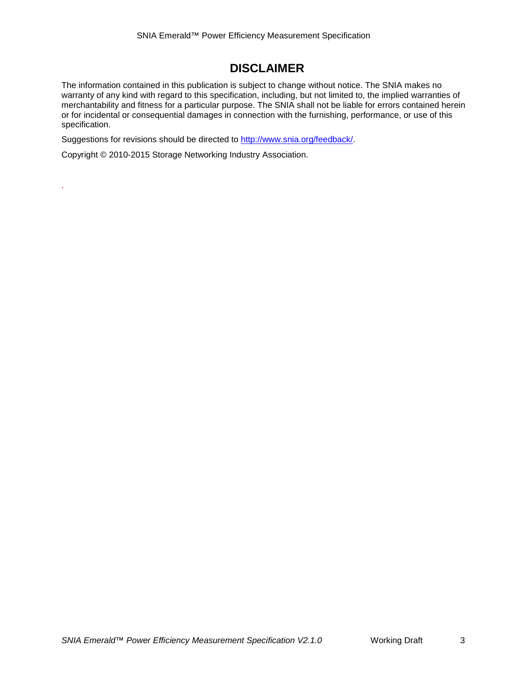## **DISCLAIMER**

The information contained in this publication is subject to change without notice. The SNIA makes no warranty of any kind with regard to this specification, including, but not limited to, the implied warranties of merchantability and fitness for a particular purpose. The SNIA shall not be liable for errors contained herein or for incidental or consequential damages in connection with the furnishing, performance, or use of this specification.

Suggestions for revisions should be directed to [http://www.snia.org/feedback/.](http://www.snia.org/feedback/)

Copyright © 2010-2015 Storage Networking Industry Association.

.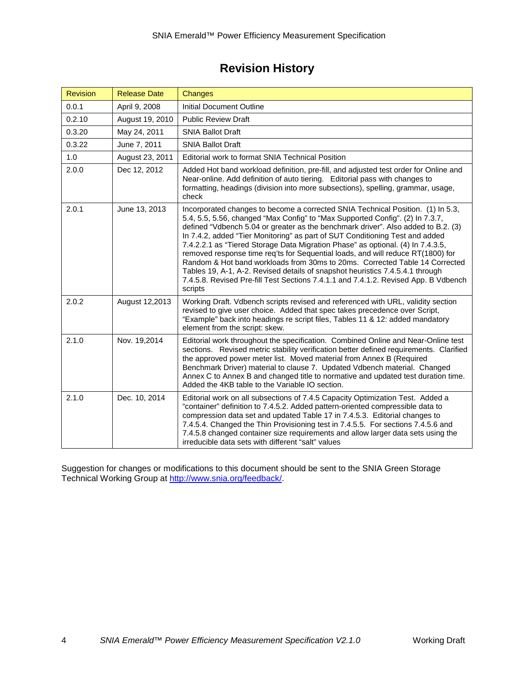## **Revision History**

| <b>Revision</b> | <b>Release Date</b> | Changes                                                                                                                                                                                                                                                                                                                                                                                                                                                                                                                                                                                                                                                                                                                                                                       |
|-----------------|---------------------|-------------------------------------------------------------------------------------------------------------------------------------------------------------------------------------------------------------------------------------------------------------------------------------------------------------------------------------------------------------------------------------------------------------------------------------------------------------------------------------------------------------------------------------------------------------------------------------------------------------------------------------------------------------------------------------------------------------------------------------------------------------------------------|
| 0.0.1           | April 9, 2008       | Initial Document Outline                                                                                                                                                                                                                                                                                                                                                                                                                                                                                                                                                                                                                                                                                                                                                      |
| 0.2.10          | August 19, 2010     | <b>Public Review Draft</b>                                                                                                                                                                                                                                                                                                                                                                                                                                                                                                                                                                                                                                                                                                                                                    |
| 0.3.20          | May 24, 2011        | <b>SNIA Ballot Draft</b>                                                                                                                                                                                                                                                                                                                                                                                                                                                                                                                                                                                                                                                                                                                                                      |
| 0.3.22          | June 7, 2011        | <b>SNIA Ballot Draft</b>                                                                                                                                                                                                                                                                                                                                                                                                                                                                                                                                                                                                                                                                                                                                                      |
| 1.0             | August 23, 2011     | Editorial work to format SNIA Technical Position                                                                                                                                                                                                                                                                                                                                                                                                                                                                                                                                                                                                                                                                                                                              |
| 2.0.0           | Dec 12, 2012        | Added Hot band workload definition, pre-fill, and adjusted test order for Online and<br>Near-online. Add definition of auto tiering. Editorial pass with changes to<br>formatting, headings (division into more subsections), spelling, grammar, usage,<br>check                                                                                                                                                                                                                                                                                                                                                                                                                                                                                                              |
| 2.0.1           | June 13, 2013       | Incorporated changes to become a corrected SNIA Technical Position. (1) In 5.3,<br>5.4, 5.5, 5.56, changed "Max Config" to "Max Supported Config". (2) In 7.3.7,<br>defined "Vdbench 5.04 or greater as the benchmark driver". Also added to B.2. (3)<br>In 7.4.2, added "Tier Monitoring" as part of SUT Conditioning Test and added<br>7.4.2.2.1 as "Tiered Storage Data Migration Phase" as optional. (4) In 7.4.3.5,<br>removed response time req'ts for Sequential loads, and will reduce RT(1800) for<br>Random & Hot band workloads from 30ms to 20ms. Corrected Table 14 Corrected<br>Tables 19, A-1, A-2. Revised details of snapshot heuristics 7.4.5.4.1 through<br>7.4.5.8. Revised Pre-fill Test Sections 7.4.1.1 and 7.4.1.2. Revised App. B Vdbench<br>scripts |
| 2.0.2           | August 12,2013      | Working Draft. Vdbench scripts revised and referenced with URL, validity section<br>revised to give user choice. Added that spec takes precedence over Script,<br>"Example" back into headings re script files, Tables 11 & 12: added mandatory<br>element from the script: skew.                                                                                                                                                                                                                                                                                                                                                                                                                                                                                             |
| 2.1.0           | Nov. 19,2014        | Editorial work throughout the specification. Combined Online and Near-Online test<br>sections. Revised metric stability verification better defined requirements. Clarified<br>the approved power meter list. Moved material from Annex B (Required<br>Benchmark Driver) material to clause 7. Updated Vdbench material. Changed<br>Annex C to Annex B and changed title to normative and updated test duration time.<br>Added the 4KB table to the Variable IO section.                                                                                                                                                                                                                                                                                                      |
| 2.1.0           | Dec. 10, 2014       | Editorial work on all subsections of 7.4.5 Capacity Optimization Test. Added a<br>"container" definition to 7.4.5.2. Added pattern-oriented compressible data to<br>compression data set and updated Table 17 in 7.4.5.3. Editorial changes to<br>7.4.5.4. Changed the Thin Provisioning test in 7.4.5.5. For sections 7.4.5.6 and<br>7.4.5.8 changed container size requirements and allow larger data sets using the<br>irreducible data sets with different "salt" values                                                                                                                                                                                                                                                                                                  |

Suggestion for changes or modifications to this document should be sent to the SNIA Green Storage Technical Working Group at [http://www.snia.org/feedback/.](http://www.snia.org/feedback/)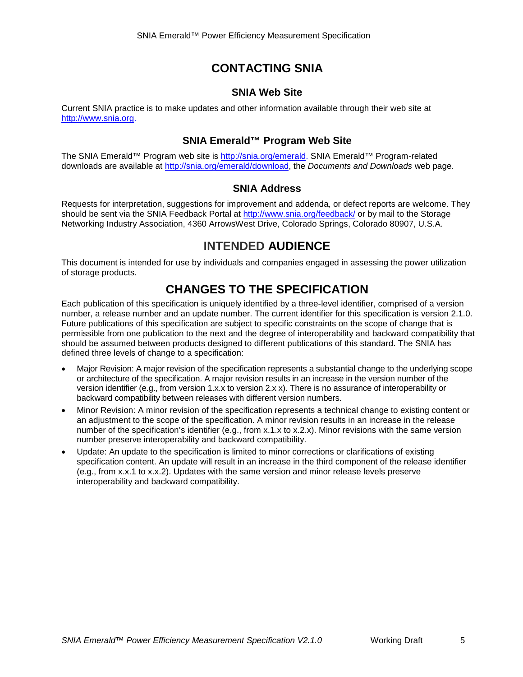## **CONTACTING SNIA**

## **SNIA Web Site**

Current SNIA practice is to make updates and other information available through their web site at http://www.snia.org.

## **SNIA Emerald™ Program Web Site**

The SNIA Emerald™ Program web site is [http://snia.org/emerald.](http://snia.org/emerald) SNIA Emerald™ Program-related downloads are available at [http://snia.org/emerald/download,](http://snia.org/emerald/download) the *Documents and Downloads* web page.

## **SNIA Address**

Requests for interpretation, suggestions for improvement and addenda, or defect reports are welcome. They should be sent via the SNIA Feedback Portal at http://www.snia.org/feedback/ or by mail to the Storage Networking Industry Association, 4360 ArrowsWest Drive, Colorado Springs, Colorado 80907, U.S.A.

## **INTENDED AUDIENCE**

This document is intended for use by individuals and companies engaged in assessing the power utilization of storage products.

## **CHANGES TO THE SPECIFICATION**

Each publication of this specification is uniquely identified by a three-level identifier, comprised of a version number, a release number and an update number. The current identifier for this specification is version 2.1.0. Future publications of this specification are subject to specific constraints on the scope of change that is permissible from one publication to the next and the degree of interoperability and backward compatibility that should be assumed between products designed to different publications of this standard. The SNIA has defined three levels of change to a specification:

- Major Revision: A major revision of the specification represents a substantial change to the underlying scope or architecture of the specification. A major revision results in an increase in the version number of the version identifier (e.g., from version 1.x.x to version 2.x x). There is no assurance of interoperability or backward compatibility between releases with different version numbers.
- Minor Revision: A minor revision of the specification represents a technical change to existing content or an adjustment to the scope of the specification. A minor revision results in an increase in the release number of the specification's identifier (e.g., from x.1.x to x.2.x). Minor revisions with the same version number preserve interoperability and backward compatibility.
- Update: An update to the specification is limited to minor corrections or clarifications of existing specification content. An update will result in an increase in the third component of the release identifier (e.g., from x.x.1 to x.x.2). Updates with the same version and minor release levels preserve interoperability and backward compatibility.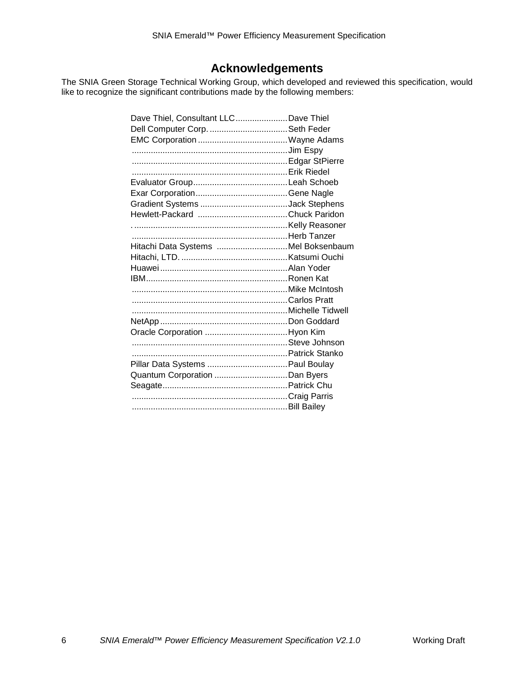## **Acknowledgements**

The SNIA Green Storage Technical Working Group, which developed and reviewed this specification, would like to recognize the significant contributions made by the following members:

| Dave Thiel, Consultant LLC Dave Thiel |  |
|---------------------------------------|--|
|                                       |  |
|                                       |  |
|                                       |  |
|                                       |  |
|                                       |  |
|                                       |  |
|                                       |  |
|                                       |  |
|                                       |  |
|                                       |  |
|                                       |  |
| Hitachi Data Systems Mel Boksenbaum   |  |
|                                       |  |
|                                       |  |
|                                       |  |
|                                       |  |
|                                       |  |
|                                       |  |
|                                       |  |
| Oracle Corporation Hyon Kim           |  |
|                                       |  |
|                                       |  |
| Pillar Data Systems  Paul Boulay      |  |
|                                       |  |
|                                       |  |
|                                       |  |
|                                       |  |
|                                       |  |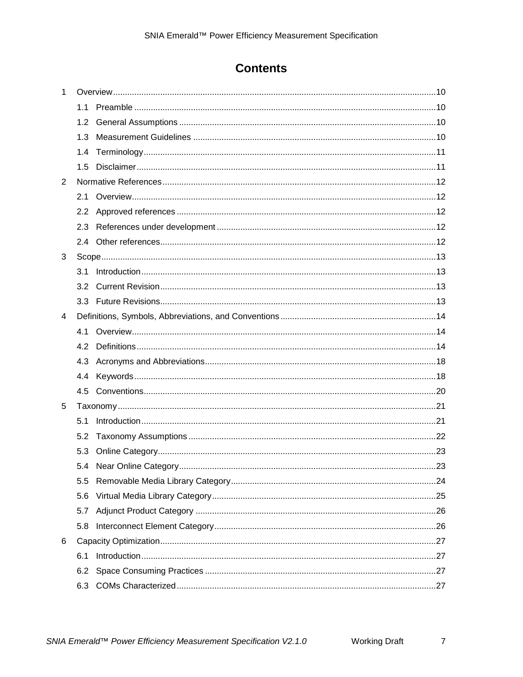## **Contents**

| $\mathbf{1}$ |                  |  |
|--------------|------------------|--|
|              |                  |  |
|              | 1.2 <sub>1</sub> |  |
|              | 1.3              |  |
|              | 1.4              |  |
|              | 1.5              |  |
| 2            |                  |  |
|              | 2.1              |  |
|              |                  |  |
|              | 2.3              |  |
|              |                  |  |
| 3            |                  |  |
|              | 3.1              |  |
|              | 3.2              |  |
|              |                  |  |
| 4            |                  |  |
|              | 4.1              |  |
|              | 4.2              |  |
|              | 4.3              |  |
|              | 4.4              |  |
|              |                  |  |
| 5            |                  |  |
|              | 5.1              |  |
|              | 5.2              |  |
|              | 5.3              |  |
|              |                  |  |
|              | 5.5              |  |
|              | 5.6              |  |
|              | 5.7              |  |
|              | 5.8              |  |
| 6            |                  |  |
|              | 6.1              |  |
|              | 6.2              |  |
|              | 6.3              |  |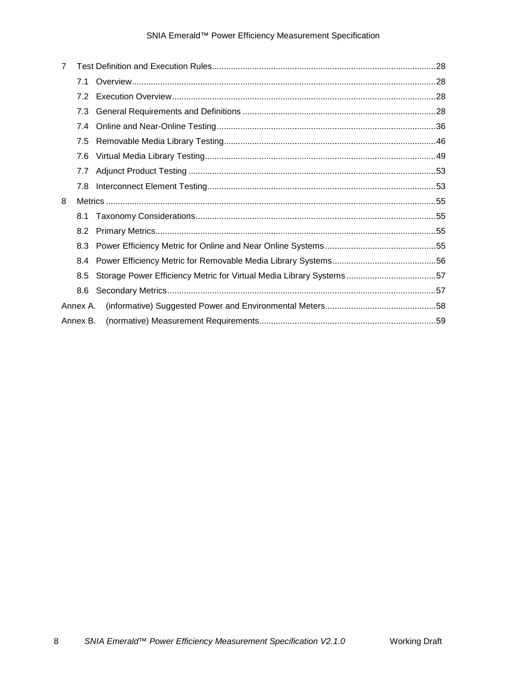## SNIA Emerald™ Power Efficiency Measurement Specification

| 7 |          |  |
|---|----------|--|
|   | 7.1      |  |
|   | 7.2      |  |
|   | 7.3      |  |
|   | 7.4      |  |
|   | 7.5      |  |
|   | 7.6      |  |
|   | 7.7      |  |
|   | 7.8      |  |
| 8 |          |  |
|   | 8.1      |  |
|   | 8.2      |  |
|   |          |  |
|   | 8.4      |  |
|   | 8.5      |  |
|   | 8.6      |  |
|   | Annex A. |  |
|   | Annex B. |  |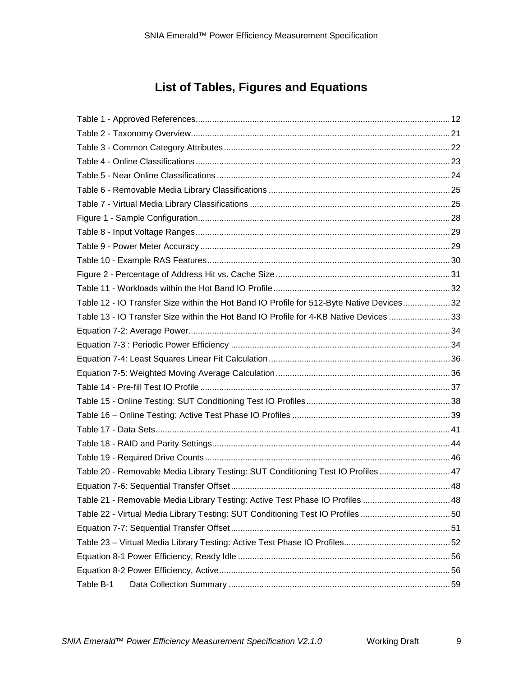## **List of Tables, Figures and Equations**

| Table 12 - IO Transfer Size within the Hot Band IO Profile for 512-Byte Native Devices32 |  |
|------------------------------------------------------------------------------------------|--|
| Table 13 - IO Transfer Size within the Hot Band IO Profile for 4-KB Native Devices 33    |  |
|                                                                                          |  |
|                                                                                          |  |
|                                                                                          |  |
|                                                                                          |  |
|                                                                                          |  |
|                                                                                          |  |
|                                                                                          |  |
|                                                                                          |  |
|                                                                                          |  |
|                                                                                          |  |
| Table 20 - Removable Media Library Testing: SUT Conditioning Test IO Profiles 47         |  |
|                                                                                          |  |
| Table 21 - Removable Media Library Testing: Active Test Phase IO Profiles  48            |  |
| Table 22 - Virtual Media Library Testing: SUT Conditioning Test IO Profiles 50           |  |
|                                                                                          |  |
|                                                                                          |  |
|                                                                                          |  |
|                                                                                          |  |
| Table B-1                                                                                |  |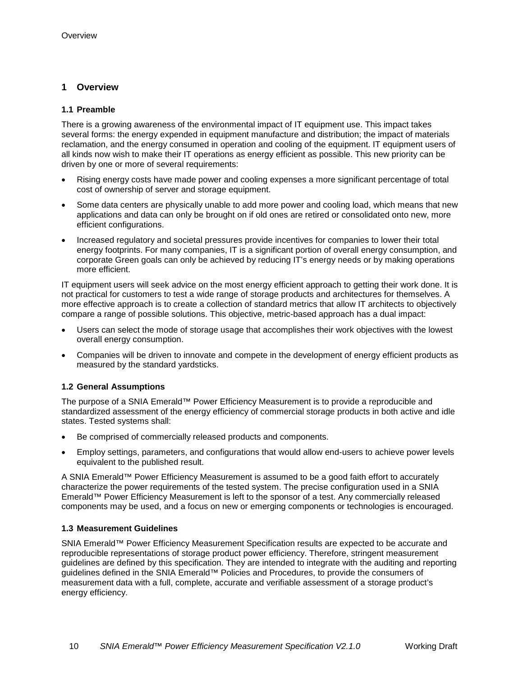## <span id="page-9-0"></span>**1 Overview**

## <span id="page-9-1"></span>**1.1 Preamble**

There is a growing awareness of the environmental impact of IT equipment use. This impact takes several forms: the energy expended in equipment manufacture and distribution; the impact of materials reclamation, and the energy consumed in operation and cooling of the equipment. IT equipment users of all kinds now wish to make their IT operations as energy efficient as possible. This new priority can be driven by one or more of several requirements:

- Rising energy costs have made power and cooling expenses a more significant percentage of total cost of ownership of server and storage equipment.
- Some data centers are physically unable to add more power and cooling load, which means that new applications and data can only be brought on if old ones are retired or consolidated onto new, more efficient configurations.
- Increased regulatory and societal pressures provide incentives for companies to lower their total energy footprints. For many companies, IT is a significant portion of overall energy consumption, and corporate Green goals can only be achieved by reducing IT's energy needs or by making operations more efficient.

IT equipment users will seek advice on the most energy efficient approach to getting their work done. It is not practical for customers to test a wide range of storage products and architectures for themselves. A more effective approach is to create a collection of standard metrics that allow IT architects to objectively compare a range of possible solutions. This objective, metric-based approach has a dual impact:

- Users can select the mode of storage usage that accomplishes their work objectives with the lowest overall energy consumption.
- Companies will be driven to innovate and compete in the development of energy efficient products as measured by the standard yardsticks.

## <span id="page-9-2"></span>**1.2 General Assumptions**

The purpose of a SNIA Emerald™ Power Efficiency Measurement is to provide a reproducible and standardized assessment of the energy efficiency of commercial storage products in both active and idle states. Tested systems shall:

- Be comprised of commercially released products and components.
- Employ settings, parameters, and configurations that would allow end-users to achieve power levels equivalent to the published result.

A SNIA Emerald™ Power Efficiency Measurement is assumed to be a good faith effort to accurately characterize the power requirements of the tested system. The precise configuration used in a SNIA Emerald™ Power Efficiency Measurement is left to the sponsor of a test. Any commercially released components may be used, and a focus on new or emerging components or technologies is encouraged.

## <span id="page-9-3"></span>**1.3 Measurement Guidelines**

SNIA Emerald™ Power Efficiency Measurement Specification results are expected to be accurate and reproducible representations of storage product power efficiency. Therefore, stringent measurement guidelines are defined by this specification. They are intended to integrate with the auditing and reporting guidelines defined in the SNIA Emerald™ Policies and Procedures, to provide the consumers of measurement data with a full, complete, accurate and verifiable assessment of a storage product's energy efficiency.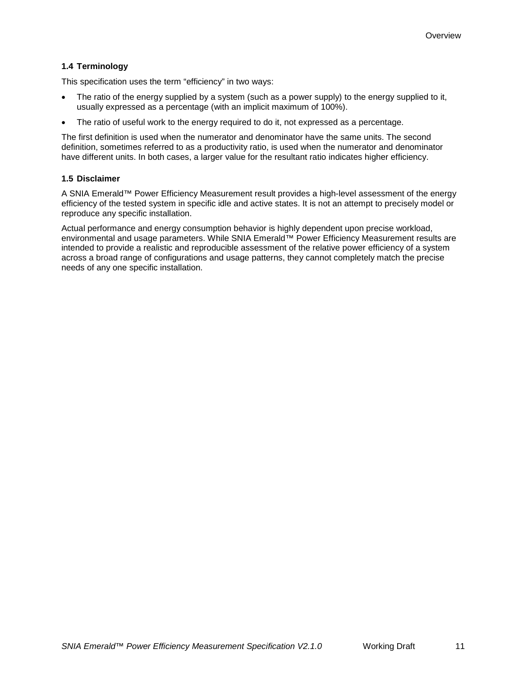### <span id="page-10-0"></span>**1.4 Terminology**

This specification uses the term "efficiency" in two ways:

- The ratio of the energy supplied by a system (such as a power supply) to the energy supplied to it, usually expressed as a percentage (with an implicit maximum of 100%).
- The ratio of useful work to the energy required to do it, not expressed as a percentage.

The first definition is used when the numerator and denominator have the same units. The second definition, sometimes referred to as a productivity ratio, is used when the numerator and denominator have different units. In both cases, a larger value for the resultant ratio indicates higher efficiency.

#### <span id="page-10-1"></span>**1.5 Disclaimer**

A SNIA Emerald™ Power Efficiency Measurement result provides a high-level assessment of the energy efficiency of the tested system in specific idle and active states. It is not an attempt to precisely model or reproduce any specific installation.

Actual performance and energy consumption behavior is highly dependent upon precise workload, environmental and usage parameters. While SNIA Emerald™ Power Efficiency Measurement results are intended to provide a realistic and reproducible assessment of the relative power efficiency of a system across a broad range of configurations and usage patterns, they cannot completely match the precise needs of any one specific installation.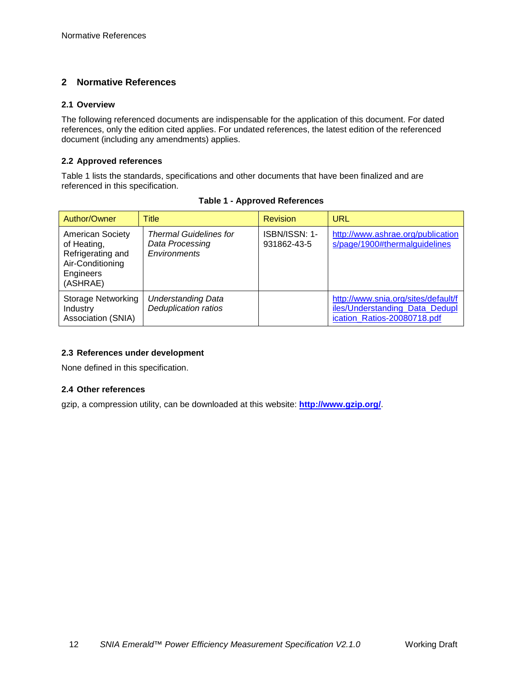## <span id="page-11-0"></span>**2 Normative References**

#### <span id="page-11-1"></span>**2.1 Overview**

The following referenced documents are indispensable for the application of this document. For dated references, only the edition cited applies. For undated references, the latest edition of the referenced document (including any amendments) applies.

#### <span id="page-11-2"></span>**2.2 Approved references**

[Table 1](#page-11-5) lists the standards, specifications and other documents that have been finalized and are referenced in this specification.

<span id="page-11-5"></span>

| Author/Owner                                                                                             | Title                                                            | <b>Revision</b>              | URL                                                                                                  |  |
|----------------------------------------------------------------------------------------------------------|------------------------------------------------------------------|------------------------------|------------------------------------------------------------------------------------------------------|--|
| <b>American Society</b><br>of Heating,<br>Refrigerating and<br>Air-Conditioning<br>Engineers<br>(ASHRAE) | <b>Thermal Guidelines for</b><br>Data Processing<br>Environments | ISBN/ISSN: 1-<br>931862-43-5 | http://www.ashrae.org/publication<br>s/page/1900#thermalguidelines                                   |  |
| <b>Storage Networking</b><br>Industry<br>Association (SNIA)                                              | <b>Understanding Data</b><br><b>Deduplication ratios</b>         |                              | http://www.snia.org/sites/default/f<br>iles/Understanding Data Dedupl<br>ication Ratios-20080718.pdf |  |

## **Table 1 - Approved References**

## <span id="page-11-3"></span>**2.3 References under development**

None defined in this specification.

#### <span id="page-11-4"></span>**2.4 Other references**

gzip, a compression utility, can be downloaded at this website: **<http://www.gzip.org/>**.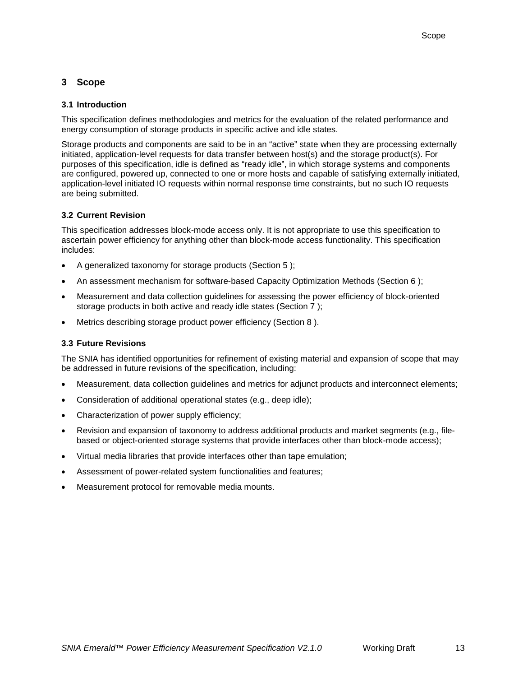## <span id="page-12-0"></span>**3 Scope**

## <span id="page-12-1"></span>**3.1 Introduction**

This specification defines methodologies and metrics for the evaluation of the related performance and energy consumption of storage products in specific active and idle states.

Storage products and components are said to be in an "active" state when they are processing externally initiated, application-level requests for data transfer between host(s) and the storage product(s). For purposes of this specification, idle is defined as "ready idle", in which storage systems and components are configured, powered up, connected to one or more hosts and capable of satisfying externally initiated, application-level initiated IO requests within normal response time constraints, but no such IO requests are being submitted.

#### <span id="page-12-2"></span>**3.2 Current Revision**

This specification addresses block-mode access only. It is not appropriate to use this specification to ascertain power efficiency for anything other than block-mode access functionality. This specification includes:

- A generalized taxonomy for storage products (Section [5 \)](#page-20-0);
- An assessment mechanism for software-based Capacity Optimization Methods (Section [6 \)](#page-26-0);
- Measurement and data collection guidelines for assessing the power efficiency of block-oriented storage products in both active and ready idle states (Section [7 \)](#page-27-0);
- Metrics describing storage product power efficiency (Section 8).

## <span id="page-12-3"></span>**3.3 Future Revisions**

The SNIA has identified opportunities for refinement of existing material and expansion of scope that may be addressed in future revisions of the specification, including:

- Measurement, data collection guidelines and metrics for adjunct products and interconnect elements;
- Consideration of additional operational states (e.g., deep idle);
- Characterization of power supply efficiency;
- Revision and expansion of taxonomy to address additional products and market segments (e.g., filebased or object-oriented storage systems that provide interfaces other than block-mode access);
- Virtual media libraries that provide interfaces other than tape emulation;
- Assessment of power-related system functionalities and features;
- Measurement protocol for removable media mounts.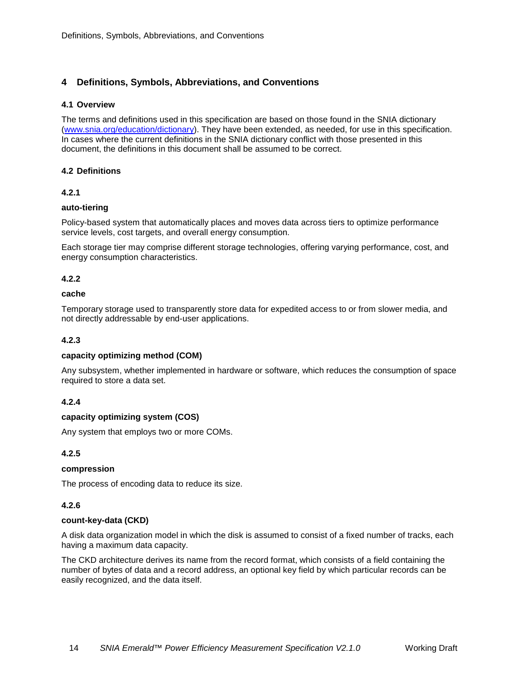## <span id="page-13-0"></span>**4 Definitions, Symbols, Abbreviations, and Conventions**

#### <span id="page-13-1"></span>**4.1 Overview**

The terms and definitions used in this specification are based on those found in the SNIA dictionary [\(www.snia.org/education/dictionary\)](http://www.snia.org/education/dictionary). They have been extended, as needed, for use in this specification. In cases where the current definitions in the SNIA dictionary conflict with those presented in this document, the definitions in this document shall be assumed to be correct.

#### <span id="page-13-2"></span>**4.2 Definitions**

## **4.2.1**

#### **auto-tiering**

Policy-based system that automatically places and moves data across tiers to optimize performance service levels, cost targets, and overall energy consumption.

Each storage tier may comprise different storage technologies, offering varying performance, cost, and energy consumption characteristics.

#### **4.2.2**

#### **cache**

Temporary storage used to transparently store data for expedited access to or from slower media, and not directly addressable by end-user applications.

### **4.2.3**

#### **capacity optimizing method (COM)**

Any subsystem, whether implemented in hardware or software, which reduces the consumption of space required to store a data set.

## **4.2.4**

#### **capacity optimizing system (COS)**

Any system that employs two or more COMs.

## **4.2.5**

#### **compression**

The process of encoding data to reduce its size.

#### **4.2.6**

#### **count-key-data (CKD)**

A disk data organization model in which the disk is assumed to consist of a fixed number of tracks, each having a maximum data capacity.

The CKD architecture derives its name from the record format, which consists of a field containing the number of bytes of data and a record address, an optional key field by which particular records can be easily recognized, and the data itself.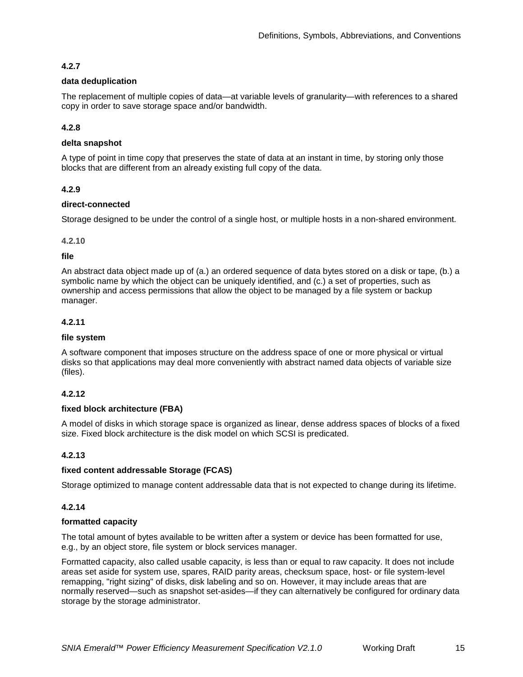## **4.2.7**

#### **data deduplication**

The replacement of multiple copies of data—at variable levels of granularity—with references to a shared copy in order to save storage space and/or bandwidth.

## **4.2.8**

#### **delta snapshot**

A type of point in time copy that preserves the state of data at an instant in time, by storing only those blocks that are different from an already existing full copy of the data.

## **4.2.9**

#### **direct-connected**

Storage designed to be under the control of a single host, or multiple hosts in a non-shared environment.

#### **4.2.10**

#### **file**

An abstract data object made up of (a.) an ordered sequence of data bytes stored on a disk or tape, (b.) a symbolic name by which the object can be uniquely identified, and (c.) a set of properties, such as ownership and access permissions that allow the object to be managed by a file system or backup manager.

## **4.2.11**

#### **file system**

A software component that imposes structure on the address space of one or more physical or virtual disks so that applications may deal more conveniently with abstract named data objects of variable size (files).

## **4.2.12**

#### **fixed block architecture (FBA)**

A model of disks in which storage space is organized as linear, dense address spaces of blocks of a fixed size. Fixed block architecture is the disk model on which SCSI is predicated.

## **4.2.13**

#### **fixed content addressable Storage (FCAS)**

Storage optimized to manage content addressable data that is not expected to change during its lifetime.

#### **4.2.14**

#### **formatted capacity**

The total amount of bytes available to be written after a system or device has been formatted for use, e.g., by an object store, file system or block services manager.

Formatted capacity, also called usable capacity, is less than or equal to raw capacity. It does not include areas set aside for system use, spares, RAID parity areas, checksum space, host- or file system-level remapping, "right sizing" of disks, disk labeling and so on. However, it may include areas that are normally reserved—such as snapshot set-asides—if they can alternatively be configured for ordinary data storage by the storage administrator.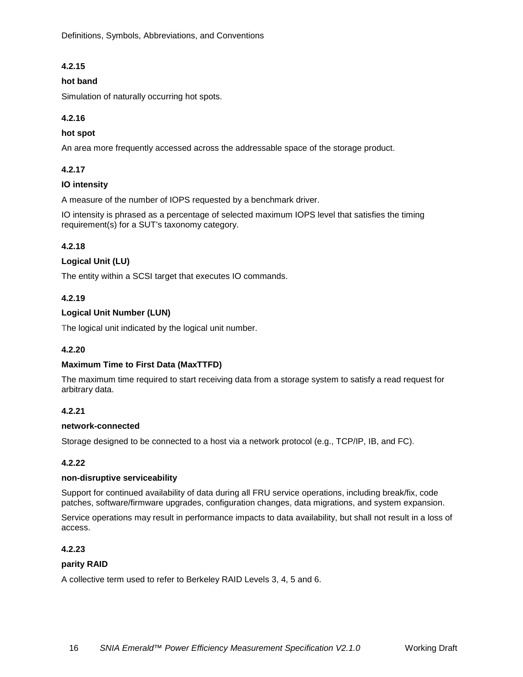[Definitions, Symbols, Abbreviations, and](#page-13-0) Conventions

## **4.2.15**

#### **hot band**

Simulation of naturally occurring hot spots.

## **4.2.16**

#### **hot spot**

An area more frequently accessed across the addressable space of the storage product.

#### **4.2.17**

#### **IO intensity**

A measure of the number of IOPS requested by a benchmark driver.

IO intensity is phrased as a percentage of selected maximum IOPS level that satisfies the timing requirement(s) for a SUT's taxonomy category.

## **4.2.18**

#### **Logical Unit (LU)**

The entity within a SCSI target that executes IO commands.

#### **4.2.19**

#### **Logical Unit Number (LUN)**

The logical unit indicated by the logical unit number.

#### **4.2.20**

#### **Maximum Time to First Data (MaxTTFD)**

The maximum time required to start receiving data from a storage system to satisfy a read request for arbitrary data.

#### **4.2.21**

#### **network-connected**

Storage designed to be connected to a host via a network protocol (e.g., TCP/IP, IB, and FC).

#### **4.2.22**

#### **non-disruptive serviceability**

Support for continued availability of data during all FRU service operations, including break/fix, code patches, software/firmware upgrades, configuration changes, data migrations, and system expansion.

Service operations may result in performance impacts to data availability, but shall not result in a loss of access.

#### **4.2.23**

#### **parity RAID**

A collective term used to refer to Berkeley RAID Levels 3, 4, 5 and 6.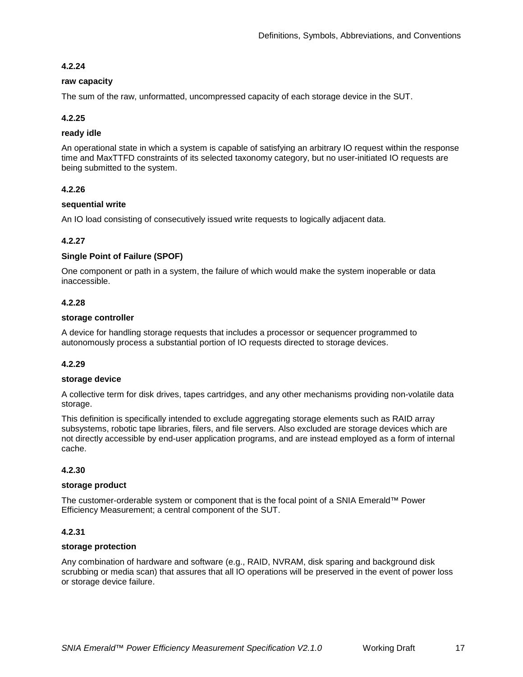#### <span id="page-16-0"></span>**4.2.24**

#### **raw capacity**

The sum of the raw, unformatted, uncompressed capacity of each storage device in the SUT.

#### **4.2.25**

#### **ready idle**

An operational state in which a system is capable of satisfying an arbitrary IO request within the response time and MaxTTFD constraints of its selected taxonomy category, but no user-initiated IO requests are being submitted to the system.

#### **4.2.26**

#### **sequential write**

An IO load consisting of consecutively issued write requests to logically adjacent data.

#### **4.2.27**

#### **Single Point of Failure (SPOF)**

One component or path in a system, the failure of which would make the system inoperable or data inaccessible.

#### **4.2.28**

#### **storage controller**

A device for handling storage requests that includes a processor or sequencer programmed to autonomously process a substantial portion of IO requests directed to storage devices.

#### **4.2.29**

#### **storage device**

A collective term for disk drives, tapes cartridges, and any other mechanisms providing non-volatile data storage.

This definition is specifically intended to exclude aggregating storage elements such as RAID array subsystems, robotic tape libraries, filers, and file servers. Also excluded are storage devices which are not directly accessible by end-user application programs, and are instead employed as a form of internal cache.

#### **4.2.30**

#### **storage product**

The customer-orderable system or component that is the focal point of a SNIA Emerald™ Power Efficiency Measurement; a central component of the SUT.

## **4.2.31**

#### **storage protection**

Any combination of hardware and software (e.g., RAID, NVRAM, disk sparing and background disk scrubbing or media scan) that assures that all IO operations will be preserved in the event of power loss or storage device failure.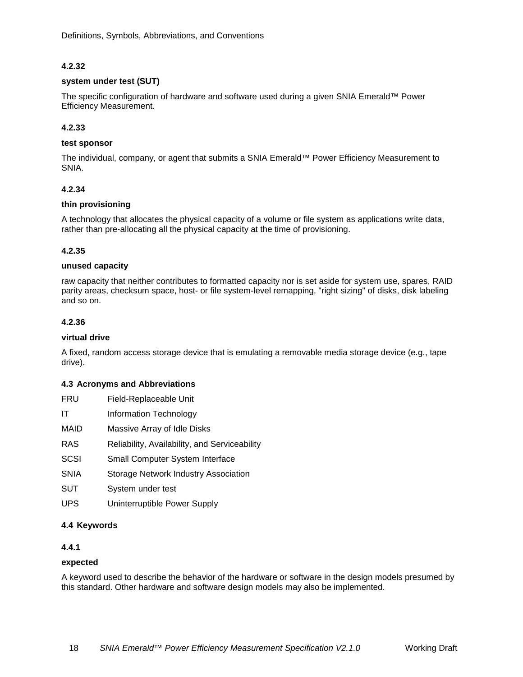## **4.2.32**

#### **system under test (SUT)**

The specific configuration of hardware and software used during a given SNIA Emerald™ Power Efficiency Measurement.

#### **4.2.33**

#### **test sponsor**

The individual, company, or agent that submits a SNIA Emerald™ Power Efficiency Measurement to SNIA.

#### **4.2.34**

#### **thin provisioning**

A technology that allocates the physical capacity of a volume or file system as applications write data, rather than pre-allocating all the physical capacity at the time of provisioning.

#### **4.2.35**

#### **unused capacity**

raw capacity that neither contributes to formatted capacity nor is set aside for system use, spares, RAID parity areas, checksum space, host- or file system-level remapping, "right sizing" of disks, disk labeling and so on.

#### **4.2.36**

#### **virtual drive**

A fixed, random access storage device that is emulating a removable media storage device (e.g., tape drive).

#### <span id="page-17-0"></span>**4.3 Acronyms and Abbreviations**

| FRU                                                     | Field-Replaceable Unit                        |
|---------------------------------------------------------|-----------------------------------------------|
| IΤ                                                      | Information Technology                        |
| MAID                                                    | Massive Array of Idle Disks                   |
| RAS                                                     | Reliability, Availability, and Serviceability |
| SCSI                                                    | <b>Small Computer System Interface</b>        |
| SNIA                                                    | <b>Storage Network Industry Association</b>   |
| SUT                                                     | System under test                             |
| UPS                                                     | Uninterruptible Power Supply                  |
| $\overline{A}$ $\overline{A}$ $\overline{V}$ averaged a |                                               |

### <span id="page-17-1"></span>**4.4 Keywords**

## **4.4.1**

#### **expected**

A keyword used to describe the behavior of the hardware or software in the design models presumed by this standard. Other hardware and software design models may also be implemented.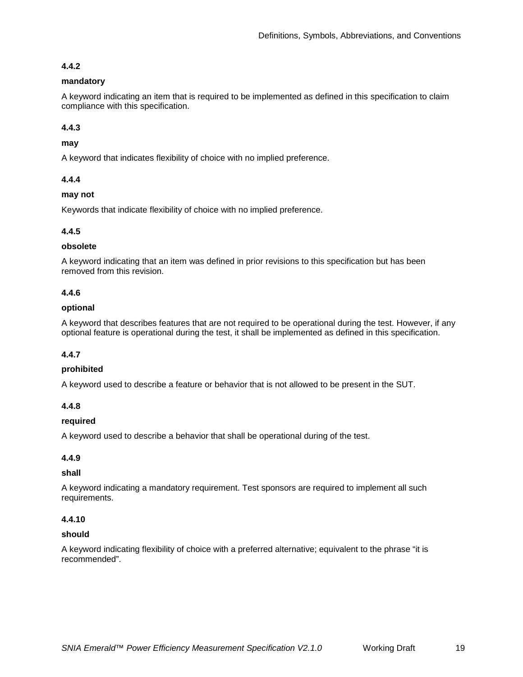## **4.4.2**

## **mandatory**

A keyword indicating an item that is required to be implemented as defined in this specification to claim compliance with this specification.

## **4.4.3**

## **may**

A keyword that indicates flexibility of choice with no implied preference.

## **4.4.4**

## **may not**

Keywords that indicate flexibility of choice with no implied preference.

## **4.4.5**

## **obsolete**

A keyword indicating that an item was defined in prior revisions to this specification but has been removed from this revision.

## **4.4.6**

## **optional**

A keyword that describes features that are not required to be operational during the test. However, if any optional feature is operational during the test, it shall be implemented as defined in this specification.

## **4.4.7**

## **prohibited**

A keyword used to describe a feature or behavior that is not allowed to be present in the SUT.

## **4.4.8**

## **required**

A keyword used to describe a behavior that shall be operational during of the test.

## **4.4.9**

## **shall**

A keyword indicating a mandatory requirement. Test sponsors are required to implement all such requirements.

## **4.4.10**

## **should**

A keyword indicating flexibility of choice with a preferred alternative; equivalent to the phrase "it is recommended".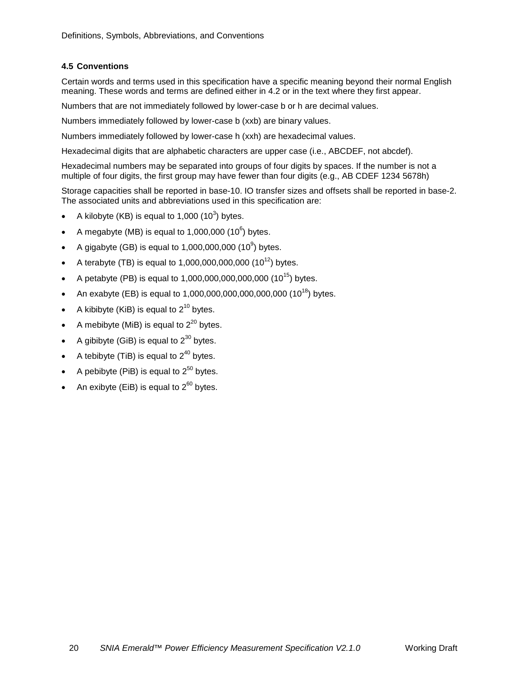## <span id="page-19-0"></span>**4.5 Conventions**

Certain words and terms used in this specification have a specific meaning beyond their normal English meaning. These words and terms are defined either in [4.2](#page-13-2) or in the text where they first appear.

Numbers that are not immediately followed by lower-case b or h are decimal values.

Numbers immediately followed by lower-case b (xxb) are binary values.

Numbers immediately followed by lower-case h (xxh) are hexadecimal values.

Hexadecimal digits that are alphabetic characters are upper case (i.e., ABCDEF, not abcdef).

Hexadecimal numbers may be separated into groups of four digits by spaces. If the number is not a multiple of four digits, the first group may have fewer than four digits (e.g., AB CDEF 1234 5678h)

Storage capacities shall be reported in base-10. IO transfer sizes and offsets shall be reported in base-2. The associated units and abbreviations used in this specification are:

- A kilobyte (KB) is equal to 1,000  $(10^3)$  bytes.
- A megabyte (MB) is equal to 1,000,000 (10 $^6$ ) bytes.
- A gigabyte (GB) is equal to 1,000,000,000 (10<sup>9</sup>) bytes.
- A terabyte (TB) is equal to 1,000,000,000,000 (10<sup>12</sup>) bytes.
- A petabyte (PB) is equal to  $1,000,000,000,000,000$  (10<sup>15</sup>) bytes.
- An exabyte (EB) is equal to  $1,000,000,000,000,000,000$  ( $10^{18}$ ) bytes.
- A kibibyte (KiB) is equal to  $2^{10}$  bytes.
- A mebibyte (MiB) is equal to  $2^{20}$  bytes.
- A gibibyte (GiB) is equal to  $2^{30}$  bytes.
- A tebibyte (TiB) is equal to  $2^{40}$  bytes.
- A pebibyte (PiB) is equal to  $2^{50}$  bytes.
- An exibyte (EiB) is equal to  $2^{60}$  bytes.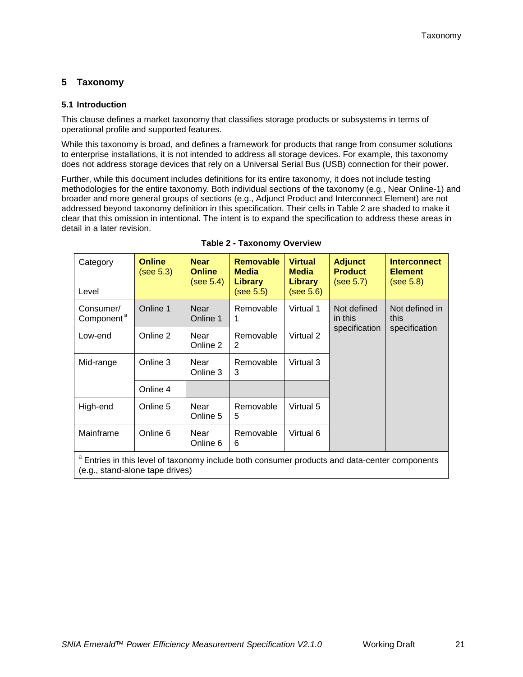## <span id="page-20-0"></span>**5 Taxonomy**

### <span id="page-20-1"></span>**5.1 Introduction**

This clause defines a market taxonomy that classifies storage products or subsystems in terms of operational profile and supported features.

While this taxonomy is broad, and defines a framework for products that range from consumer solutions to enterprise installations, it is not intended to address all storage devices. For example, this taxonomy does not address storage devices that rely on a Universal Serial Bus (USB) connection for their power.

Further, while this document includes definitions for its entire taxonomy, it does not include testing methodologies for the entire taxonomy. Both individual sections of the taxonomy (e.g., Near Online-1) and broader and more general groups of sections (e.g., Adjunct Product and Interconnect Element) are not addressed beyond taxonomy definition in this specification. Their cells in [Table 2](#page-20-2) are shaded to make it clear that this omission in intentional. The intent is to expand the specification to address these areas in detail in a later revision.

<span id="page-20-2"></span>

| Category<br>Level                   | <b>Online</b><br>(see 5.3)                                                                               | <b>Near</b><br><b>Online</b><br>(see 5.4) | <b>Removable</b><br><b>Media</b><br>Library<br>(see 5.5) | <b>Virtual</b><br><b>Media</b><br><b>Library</b><br>(see 5.6) | <b>Adjunct</b><br><b>Product</b><br>(see 5.7) | <b>Interconnect</b><br><b>Element</b><br>(see 5.8) |  |  |  |
|-------------------------------------|----------------------------------------------------------------------------------------------------------|-------------------------------------------|----------------------------------------------------------|---------------------------------------------------------------|-----------------------------------------------|----------------------------------------------------|--|--|--|
| Consumer/<br>Component <sup>a</sup> | Online 1                                                                                                 | Near<br>Online 1                          | Removable<br>1                                           | Virtual 1                                                     | Not defined<br>in this<br>specification       | Not defined in<br>this                             |  |  |  |
| Low-end                             | Online 2                                                                                                 | Near<br>Online 2                          | Removable<br>2                                           | Virtual 2                                                     |                                               | specification                                      |  |  |  |
| Mid-range                           | Online 3                                                                                                 | Near<br>Online 3                          | Removable<br>3                                           | Virtual 3                                                     |                                               |                                                    |  |  |  |
|                                     | Online 4                                                                                                 |                                           |                                                          |                                                               |                                               |                                                    |  |  |  |
| High-end                            | Online 5                                                                                                 | Near<br>Online 5                          | Removable<br>5                                           | Virtual 5                                                     |                                               |                                                    |  |  |  |
| Mainframe                           | Online 6                                                                                                 | Near<br>Online 6                          | Removable<br>6                                           | Virtual 6                                                     |                                               |                                                    |  |  |  |
|                                     | <sup>a</sup> Entrice in this lovel of taxonomy include both consumer products and data-center components |                                           |                                                          |                                                               |                                               |                                                    |  |  |  |

**Table 2 - Taxonomy Overview**

<sup>a</sup> Entries in this level of taxonomy include both consumer products and data-center components (e.g., stand-alone tape drives)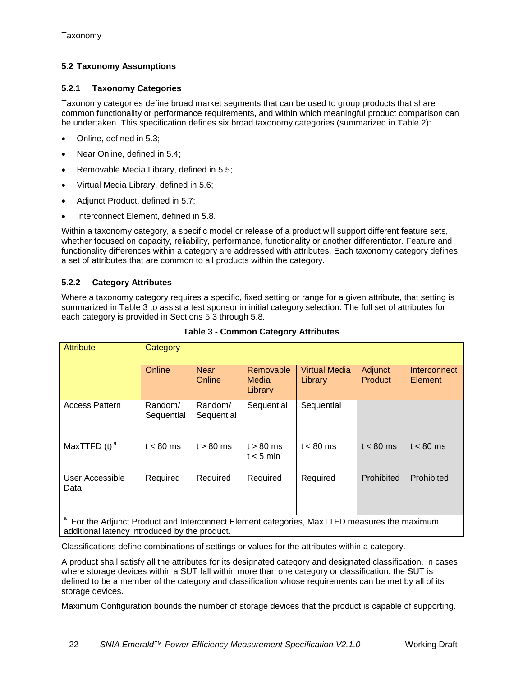## <span id="page-21-0"></span>**5.2 Taxonomy Assumptions**

## **5.2.1 Taxonomy Categories**

Taxonomy categories define broad market segments that can be used to group products that share common functionality or performance requirements, and within which meaningful product comparison can be undertaken. This specification defines six broad taxonomy categories (summarized in [Table 2\)](#page-20-2):

- Online, defined in [5.3;](#page-22-0)
- Near Online, defined in [5.4;](#page-22-1)
- Removable Media Library, defined in [5.5;](#page-23-0)
- Virtual Media Library, defined in [5.6;](#page-24-0)
- Adjunct Product, defined in [5.7;](#page-25-0)
- Interconnect Element, defined in [5.8.](#page-25-1)

Within a taxonomy category, a specific model or release of a product will support different feature sets, whether focused on capacity, reliability, performance, functionality or another differentiator. Feature and functionality differences within a category are addressed with attributes. Each taxonomy category defines a set of attributes that are common to all products within the category.

## **5.2.2 Category Attributes**

Where a taxonomy category requires a specific, fixed setting or range for a given attribute, that setting is summarized in [Table 3](#page-21-1) to assist a test sponsor in initial category selection. The full set of attributes for each category is provided in Sections [5.3](#page-22-0) through [5.8.](#page-25-1)

<span id="page-21-1"></span>

| <b>Attribute</b>           | Category              |                       |                               |                                 |                    |                         |  |  |  |
|----------------------------|-----------------------|-----------------------|-------------------------------|---------------------------------|--------------------|-------------------------|--|--|--|
|                            | Online                | <b>Near</b><br>Online | Removable<br>Media<br>Library | <b>Virtual Media</b><br>Library | Adjunct<br>Product | Interconnect<br>Element |  |  |  |
| <b>Access Pattern</b>      | Random/<br>Sequential | Random/<br>Sequential | Sequential                    | Sequential                      |                    |                         |  |  |  |
| MaxTTFD $(t)$ <sup>a</sup> | $t < 80$ ms           | $t > 80$ ms           | $t > 80$ ms<br>$t < 5$ min    | $t < 80$ ms                     | $t < 80$ ms        | $t < 80$ ms             |  |  |  |
| User Accessible<br>Data    | Required              | Required              | Required                      | Required                        | Prohibited         | Prohibited              |  |  |  |
| <u>-</u>                   |                       |                       |                               |                                 |                    |                         |  |  |  |

**Table 3 - Common Category Attributes**

<sup>a</sup> For the Adjunct Product and Interconnect Element categories, MaxTTFD measures the maximum additional latency introduced by the product.

Classifications define combinations of settings or values for the attributes within a category.

A product shall satisfy all the attributes for its designated category and designated classification. In cases where storage devices within a SUT fall within more than one category or classification, the SUT is defined to be a member of the category and classification whose requirements can be met by all of its storage devices.

Maximum Configuration bounds the number of storage devices that the product is capable of supporting.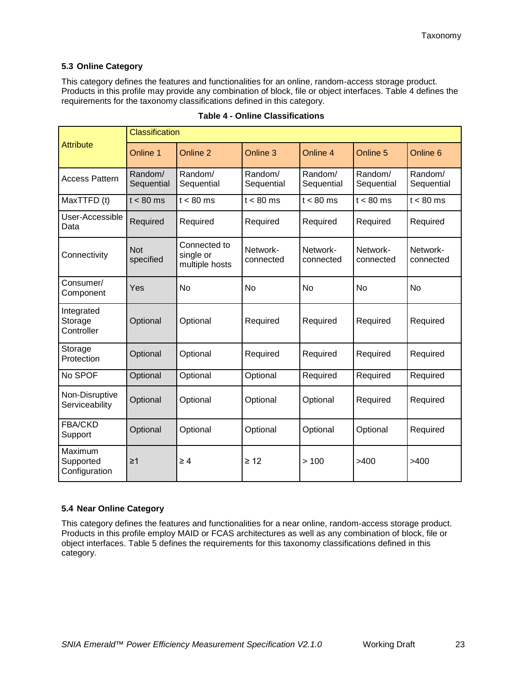## <span id="page-22-0"></span>**5.3 Online Category**

This category defines the features and functionalities for an online, random-access storage product. Products in this profile may provide any combination of block, file or object interfaces. [Table 4](#page-22-2) defines the requirements for the taxonomy classifications defined in this category.

<span id="page-22-2"></span>

|                                       | <b>Classification</b>   |                                             |                       |                       |                       |                       |  |  |  |
|---------------------------------------|-------------------------|---------------------------------------------|-----------------------|-----------------------|-----------------------|-----------------------|--|--|--|
| <b>Attribute</b>                      | Online 1                | Online 2                                    | Online 3              | Online <sub>4</sub>   | Online 5              | Online 6              |  |  |  |
| <b>Access Pattern</b>                 | Random/<br>Sequential   | Random/<br>Sequential                       | Random/<br>Sequential | Random/<br>Sequential | Random/<br>Sequential | Random/<br>Sequential |  |  |  |
| MaxTTFD (t)                           | $t < 80$ ms             | $t < 80$ ms                                 | $t < 80$ ms           | $t < 80$ ms           | $t < 80$ ms           | $t < 80$ ms           |  |  |  |
| User-Accessible<br>Data               | Required                | Required                                    | Required              | Required              | Required              | Required              |  |  |  |
| Connectivity                          | <b>Not</b><br>specified | Connected to<br>single or<br>multiple hosts | Network-<br>connected | Network-<br>connected | Network-<br>connected | Network-<br>connected |  |  |  |
| Consumer/<br>Component                | Yes                     | <b>No</b>                                   | No                    | No                    | No                    | <b>No</b>             |  |  |  |
| Integrated<br>Storage<br>Controller   | Optional                | Optional                                    | Required              | Required              | Required              | Required              |  |  |  |
| Storage<br>Protection                 | Optional                | Optional                                    | Required              | Required              | Required              | Required              |  |  |  |
| No SPOF                               | Optional                | Optional                                    | Optional              | Required              | Required              | Required              |  |  |  |
| Non-Disruptive<br>Serviceability      | Optional                | Optional                                    | Optional              | Optional              | Required              | Required              |  |  |  |
| <b>FBA/CKD</b><br>Support             | Optional                | Optional                                    | Optional              | Optional              | Optional              | Required              |  |  |  |
| Maximum<br>Supported<br>Configuration | $\geq$ 1                | $\geq 4$                                    | $\geq 12$             | >100                  | >400                  | >400                  |  |  |  |

#### **Table 4 - Online Classifications**

## <span id="page-22-1"></span>**5.4 Near Online Category**

This category defines the features and functionalities for a near online, random-access storage product. Products in this profile employ MAID or FCAS architectures as well as any combination of block, file or object interfaces. [Table 5](#page-23-1) defines the requirements for this taxonomy classifications defined in this category.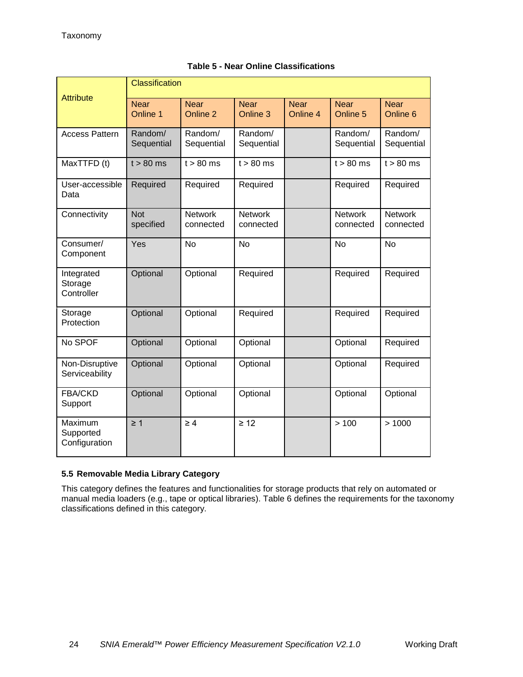<span id="page-23-1"></span>

| <b>Attribute</b>                      | Classification          |                             |                             |                         |                             |                             |  |  |  |
|---------------------------------------|-------------------------|-----------------------------|-----------------------------|-------------------------|-----------------------------|-----------------------------|--|--|--|
|                                       | <b>Near</b><br>Online 1 | <b>Near</b><br>Online 2     | <b>Near</b><br>Online 3     | <b>Near</b><br>Online 4 | <b>Near</b><br>Online 5     | <b>Near</b><br>Online 6     |  |  |  |
| <b>Access Pattern</b>                 | Random/<br>Sequential   | Random/<br>Sequential       | Random/<br>Sequential       |                         | Random/<br>Sequential       | Random/<br>Sequential       |  |  |  |
| MaxTTFD (t)                           | $t > 80$ ms             | $t > 80$ ms                 | $t > 80$ ms                 |                         | $t > 80$ ms                 | $t > 80$ ms                 |  |  |  |
| User-accessible<br>Data               | Required                | Required                    | Required                    |                         | Required                    | Required                    |  |  |  |
| Connectivity                          | <b>Not</b><br>specified | <b>Network</b><br>connected | <b>Network</b><br>connected |                         | <b>Network</b><br>connected | <b>Network</b><br>connected |  |  |  |
| Consumer/<br>Component                | Yes                     | No                          | No                          |                         | No                          | No                          |  |  |  |
| Integrated<br>Storage<br>Controller   | Optional                | Optional                    | Required                    |                         | Required                    | Required                    |  |  |  |
| Storage<br>Protection                 | Optional                | Optional                    | Required                    |                         | Required                    | Required                    |  |  |  |
| No SPOF                               | Optional                | Optional                    | Optional                    |                         | Optional                    | Required                    |  |  |  |
| Non-Disruptive<br>Serviceability      | Optional                | Optional                    | Optional                    |                         | Optional                    | Required                    |  |  |  |
| FBA/CKD<br>Support                    | Optional                | Optional                    | Optional                    |                         | Optional                    | Optional                    |  |  |  |
| Maximum<br>Supported<br>Configuration | $\geq 1$                | $\geq 4$                    | $\geq 12$                   |                         | >100                        | >1000                       |  |  |  |

## **Table 5 - Near Online Classifications**

## <span id="page-23-0"></span>**5.5 Removable Media Library Category**

This category defines the features and functionalities for storage products that rely on automated or manual media loaders (e.g., tape or optical libraries). [Table 6](#page-24-1) defines the requirements for the taxonomy classifications defined in this category.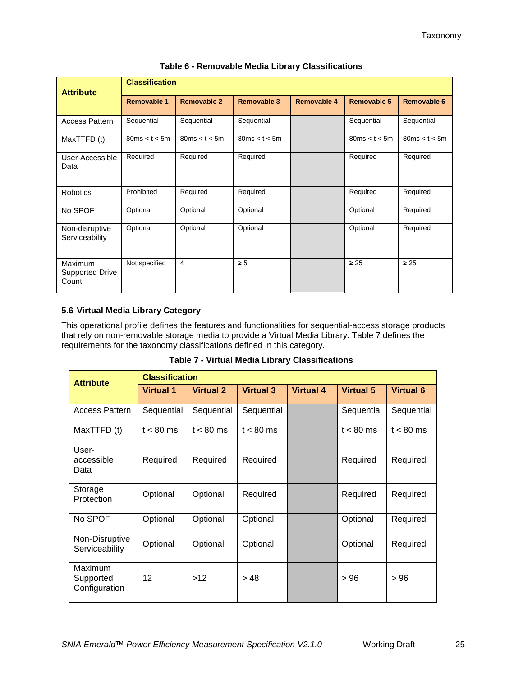<span id="page-24-1"></span>

| <b>Attribute</b>                           | <b>Classification</b> |                    |                    |                    |                    |                    |  |  |  |
|--------------------------------------------|-----------------------|--------------------|--------------------|--------------------|--------------------|--------------------|--|--|--|
|                                            | <b>Removable 1</b>    | <b>Removable 2</b> | <b>Removable 3</b> | <b>Removable 4</b> | <b>Removable 5</b> | <b>Removable 6</b> |  |  |  |
| <b>Access Pattern</b>                      | Sequential            | Sequential         | Sequential         |                    | Sequential         | Sequential         |  |  |  |
| MaxTTFD (t)                                | 80ms < t < 5m         | 80ms < t < 5m      | 80ms < t < 5m      |                    | 80ms < t < 5m      | 80ms < t < 5m      |  |  |  |
| User-Accessible<br>Data                    | Required              | Required           | Required           |                    | Required           | Required           |  |  |  |
| Robotics                                   | Prohibited            | Required           | Required           |                    | Required           | Required           |  |  |  |
| No SPOF                                    | Optional              | Optional           | Optional           |                    | Optional           | Required           |  |  |  |
| Non-disruptive<br>Serviceability           | Optional              | Optional           | Optional           |                    | Optional           | Required           |  |  |  |
| <b>Maximum</b><br>Supported Drive<br>Count | Not specified         | $\overline{4}$     | $\geq 5$           |                    | $\geq 25$          | $\geq 25$          |  |  |  |

**Table 6 - Removable Media Library Classifications**

## <span id="page-24-0"></span>**5.6 Virtual Media Library Category**

This operational profile defines the features and functionalities for sequential-access storage products that rely on non-removable storage media to provide a Virtual Media Library. [Table 7](#page-24-2) defines the requirements for the taxonomy classifications defined in this category.

| <b>Table 7 - Virtual Media Library Classifications</b> |  |  |
|--------------------------------------------------------|--|--|
|--------------------------------------------------------|--|--|

<span id="page-24-2"></span>

| <b>Attribute</b>                      | <b>Classification</b> |                  |                  |                  |                  |                  |
|---------------------------------------|-----------------------|------------------|------------------|------------------|------------------|------------------|
|                                       | <b>Virtual 1</b>      | <b>Virtual 2</b> | <b>Virtual 3</b> | <b>Virtual 4</b> | <b>Virtual 5</b> | <b>Virtual 6</b> |
| <b>Access Pattern</b>                 | Sequential            | Sequential       | Sequential       |                  | Sequential       | Sequential       |
| MaxTTFD (t)                           | $t < 80$ ms           | $t < 80$ ms      | $t < 80$ ms      |                  | $t < 80$ ms      | $t < 80$ ms      |
| User-<br>accessible<br>Data           | Required              | Required         | Required         |                  | Required         | Required         |
| Storage<br>Protection                 | Optional              | Optional         | Required         |                  | Required         | Required         |
| No SPOF                               | Optional              | Optional         | Optional         |                  | Optional         | Required         |
| Non-Disruptive<br>Serviceability      | Optional              | Optional         | Optional         |                  | Optional         | Required         |
| Maximum<br>Supported<br>Configuration | 12                    | >12              | >48              |                  | >96              | >96              |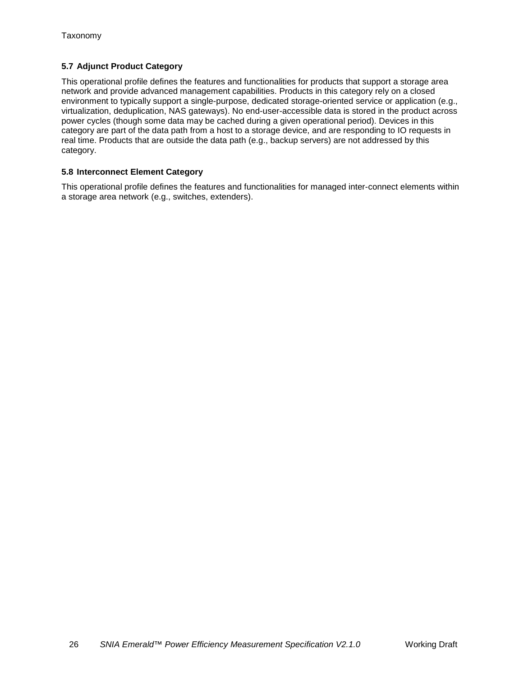## <span id="page-25-0"></span>**5.7 Adjunct Product Category**

This operational profile defines the features and functionalities for products that support a storage area network and provide advanced management capabilities. Products in this category rely on a closed environment to typically support a single-purpose, dedicated storage-oriented service or application (e.g., virtualization, deduplication, NAS gateways). No end-user-accessible data is stored in the product across power cycles (though some data may be cached during a given operational period). Devices in this category are part of the data path from a host to a storage device, and are responding to IO requests in real time. Products that are outside the data path (e.g., backup servers) are not addressed by this category.

## <span id="page-25-1"></span>**5.8 Interconnect Element Category**

This operational profile defines the features and functionalities for managed inter-connect elements within a storage area network (e.g., switches, extenders).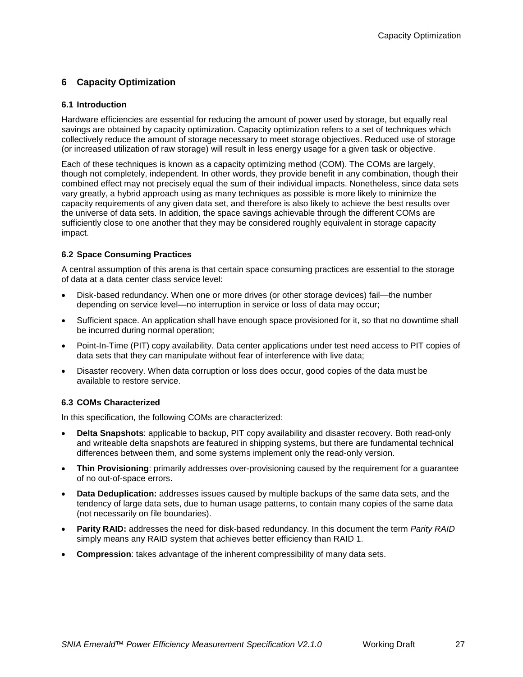## <span id="page-26-0"></span>**6 Capacity Optimization**

## <span id="page-26-1"></span>**6.1 Introduction**

Hardware efficiencies are essential for reducing the amount of power used by storage, but equally real savings are obtained by capacity optimization. Capacity optimization refers to a set of techniques which collectively reduce the amount of storage necessary to meet storage objectives. Reduced use of storage (or increased utilization of raw storage) will result in less energy usage for a given task or objective.

Each of these techniques is known as a capacity optimizing method (COM). The COMs are largely, though not completely, independent. In other words, they provide benefit in any combination, though their combined effect may not precisely equal the sum of their individual impacts. Nonetheless, since data sets vary greatly, a hybrid approach using as many techniques as possible is more likely to minimize the capacity requirements of any given data set, and therefore is also likely to achieve the best results over the universe of data sets. In addition, the space savings achievable through the different COMs are sufficiently close to one another that they may be considered roughly equivalent in storage capacity impact.

## <span id="page-26-2"></span>**6.2 Space Consuming Practices**

A central assumption of this arena is that certain space consuming practices are essential to the storage of data at a data center class service level:

- Disk-based redundancy. When one or more drives (or other storage devices) fail—the number depending on service level—no interruption in service or loss of data may occur;
- Sufficient space. An application shall have enough space provisioned for it, so that no downtime shall be incurred during normal operation;
- Point-In-Time (PIT) copy availability. Data center applications under test need access to PIT copies of data sets that they can manipulate without fear of interference with live data;
- Disaster recovery. When data corruption or loss does occur, good copies of the data must be available to restore service.

## <span id="page-26-3"></span>**6.3 COMs Characterized**

In this specification, the following COMs are characterized:

- **Delta Snapshots**: applicable to backup, PIT copy availability and disaster recovery. Both read-only and writeable delta snapshots are featured in shipping systems, but there are fundamental technical differences between them, and some systems implement only the read-only version.
- **Thin Provisioning**: primarily addresses over-provisioning caused by the requirement for a guarantee of no out-of-space errors.
- **Data Deduplication:** addresses issues caused by multiple backups of the same data sets, and the tendency of large data sets, due to human usage patterns, to contain many copies of the same data (not necessarily on file boundaries).
- **Parity RAID:** addresses the need for disk-based redundancy. In this document the term *Parity RAID* simply means any RAID system that achieves better efficiency than RAID 1.
- **Compression**: takes advantage of the inherent compressibility of many data sets.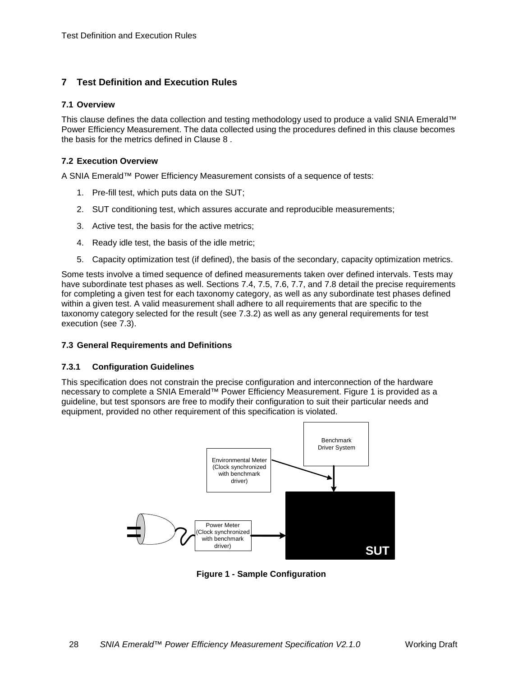## <span id="page-27-0"></span>**7 Test Definition and Execution Rules**

#### <span id="page-27-1"></span>**7.1 Overview**

This clause defines the data collection and testing methodology used to produce a valid SNIA Emerald™ Power Efficiency Measurement. The data collected using the procedures defined in this clause becomes the basis for the metrics defined in Clause [8 .](#page-54-0)

#### <span id="page-27-2"></span>**7.2 Execution Overview**

A SNIA Emerald™ Power Efficiency Measurement consists of a sequence of tests:

- 1. Pre-fill test, which puts data on the SUT;
- 2. SUT conditioning test, which assures accurate and reproducible measurements;
- 3. Active test, the basis for the active metrics;
- 4. Ready idle test, the basis of the idle metric;
- 5. Capacity optimization test (if defined), the basis of the secondary, capacity optimization metrics.

Some tests involve a timed sequence of defined measurements taken over defined intervals. Tests may have subordinate test phases as well. Sections [7.4,](#page-35-0) [7.5,](#page-45-0) [7.6,](#page-48-0) [7.7,](#page-52-0) and [7.8](#page-52-1) detail the precise requirements for completing a given test for each taxonomy category, as well as any subordinate test phases defined within a given test. A valid measurement shall adhere to all requirements that are specific to the taxonomy category selected for the result (see [7.3.2\)](#page-28-2) as well as any general requirements for test execution (see [7.3\)](#page-27-3).

## <span id="page-27-3"></span>**7.3 General Requirements and Definitions**

#### **7.3.1 Configuration Guidelines**

This specification does not constrain the precise configuration and interconnection of the hardware necessary to complete a SNIA Emerald™ Power Efficiency Measurement. [Figure 1](#page-27-4) is provided as a guideline, but test sponsors are free to modify their configuration to suit their particular needs and equipment, provided no other requirement of this specification is violated.



<span id="page-27-4"></span>**Figure 1 - Sample Configuration**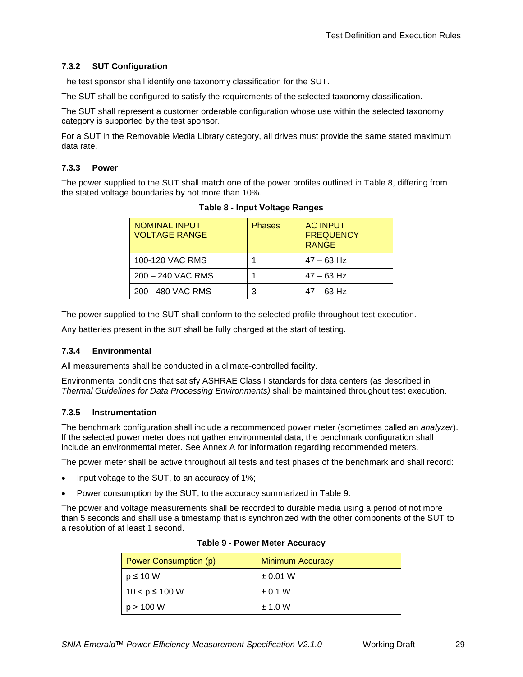## <span id="page-28-2"></span>**7.3.2 SUT Configuration**

The test sponsor shall identify one taxonomy classification for the SUT.

The SUT shall be configured to satisfy the requirements of the selected taxonomy classification.

The SUT shall represent a customer orderable configuration whose use within the selected taxonomy category is supported by the test sponsor.

For a SUT in the Removable Media Library category, all drives must provide the same stated maximum data rate.

#### **7.3.3 Power**

<span id="page-28-0"></span>The power supplied to the SUT shall match one of the power profiles outlined in [Table 8,](#page-28-0) differing from the stated voltage boundaries by not more than 10%.

| <b>NOMINAL INPUT</b><br><b>VOLTAGE RANGE</b> | <b>Phases</b> | <b>AC INPUT</b><br><b>FREQUENCY</b><br><b>RANGE</b> |
|----------------------------------------------|---------------|-----------------------------------------------------|
| 100-120 VAC RMS                              |               | $47 - 63$ Hz                                        |
| 200 - 240 VAC RMS                            |               | $47 - 63$ Hz                                        |
| 200 - 480 VAC RMS                            | 3             | $47 - 63$ Hz                                        |

**Table 8 - Input Voltage Ranges**

The power supplied to the SUT shall conform to the selected profile throughout test execution.

Any batteries present in the SUT shall be fully charged at the start of testing.

#### **7.3.4 Environmental**

All measurements shall be conducted in a climate-controlled facility.

Environmental conditions that satisfy ASHRAE Class I standards for data centers (as described in *Thermal Guidelines for Data Processing Environments)* shall be maintained throughout test execution.

#### <span id="page-28-3"></span>**7.3.5 Instrumentation**

The benchmark configuration shall include a recommended power meter (sometimes called an *analyzer*). If the selected power meter does not gather environmental data, the benchmark configuration shall include an environmental meter. See [Annex A](#page-57-0) for information regarding recommended meters.

The power meter shall be active throughout all tests and test phases of the benchmark and shall record:

- Input voltage to the SUT, to an accuracy of 1%;
- Power consumption by the SUT, to the accuracy summarized in [Table 9.](#page-28-1)

<span id="page-28-1"></span>The power and voltage measurements shall be recorded to durable media using a period of not more than 5 seconds and shall use a timestamp that is synchronized with the other components of the SUT to a resolution of at least 1 second.

| Power Consumption (p) | <b>Minimum Accuracy</b> |
|-----------------------|-------------------------|
| $p \le 10$ W          | $\pm$ 0.01 W            |
| $10 < p \le 100$ W    | $\pm$ 0.1 W             |
| p > 100 W             | ± 1.0 W                 |

|  | <b>Table 9 - Power Meter Accuracy</b> |
|--|---------------------------------------|
|--|---------------------------------------|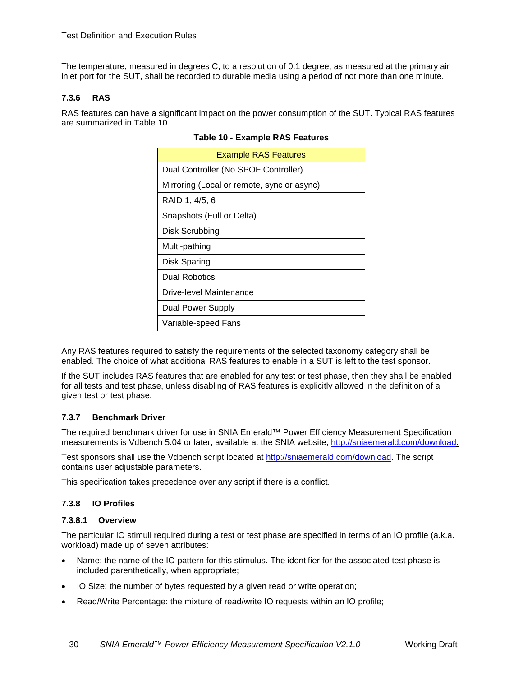The temperature, measured in degrees C, to a resolution of 0.1 degree, as measured at the primary air inlet port for the SUT, shall be recorded to durable media using a period of not more than one minute.

### **7.3.6 RAS**

<span id="page-29-0"></span>RAS features can have a significant impact on the power consumption of the SUT. Typical RAS features are summarized in [Table 10.](#page-29-0)

| <b>Example RAS Features</b>                |
|--------------------------------------------|
| Dual Controller (No SPOF Controller)       |
| Mirroring (Local or remote, sync or async) |
| RAID 1, 4/5, 6                             |
| Snapshots (Full or Delta)                  |
| Disk Scrubbing                             |
| Multi-pathing                              |
| Disk Sparing                               |
| Dual Robotics                              |
| Drive-level Maintenance                    |
| Dual Power Supply                          |
| Variable-speed Fans                        |

#### **Table 10 - Example RAS Features**

Any RAS features required to satisfy the requirements of the selected taxonomy category shall be enabled. The choice of what additional RAS features to enable in a SUT is left to the test sponsor.

If the SUT includes RAS features that are enabled for any test or test phase, then they shall be enabled for all tests and test phase, unless disabling of RAS features is explicitly allowed in the definition of a given test or test phase.

#### **7.3.7 Benchmark Driver**

The required benchmark driver for use in SNIA Emerald™ Power Efficiency Measurement Specification measurements is Vdbench 5.04 or later, available at the SNIA website, [http://sniaemerald.com/download.](http://sniaemerald.com/download)

Test sponsors shall use the Vdbench script located at [http://sniaemerald.com/download.](http://sniaemerald.com/download) The script contains user adjustable parameters.

This specification takes precedence over any script if there is a conflict.

## **7.3.8 IO Profiles**

#### **7.3.8.1 Overview**

The particular IO stimuli required during a test or test phase are specified in terms of an IO profile (a.k.a. workload) made up of seven attributes:

- Name: the name of the IO pattern for this stimulus. The identifier for the associated test phase is included parenthetically, when appropriate;
- IO Size: the number of bytes requested by a given read or write operation;
- Read/Write Percentage: the mixture of read/write IO requests within an IO profile;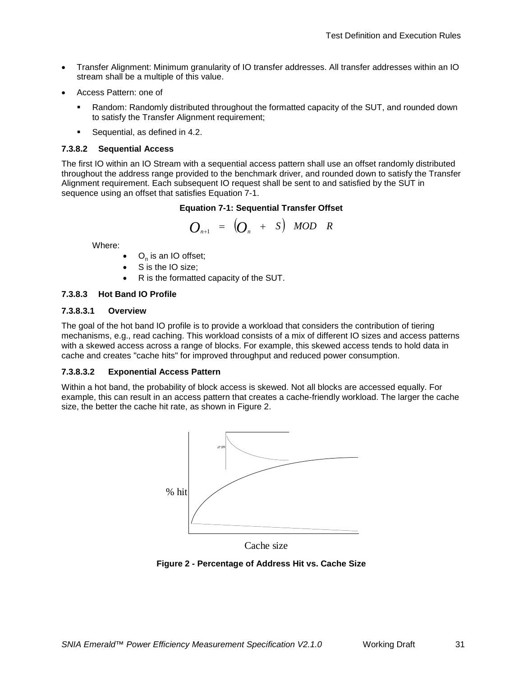- Transfer Alignment: Minimum granularity of IO transfer addresses. All transfer addresses within an IO stream shall be a multiple of this value.
- Access Pattern: one of
	- Random: Randomly distributed throughout the formatted capacity of the SUT, and rounded down to satisfy the Transfer Alignment requirement;
	- **Sequential, as defined in [4.2.](#page-13-2)**

#### **7.3.8.2 Sequential Access**

<span id="page-30-1"></span>The first IO within an IO Stream with a sequential access pattern shall use an offset randomly distributed throughout the address range provided to the benchmark driver, and rounded down to satisfy the Transfer Alignment requirement. Each subsequent IO request shall be sent to and satisfied by the SUT in sequence using an offset that satisfies [Equation 7-1.](#page-30-1)

#### **Equation 7-1: Sequential Transfer Offset**

$$
O_{n+1} = \left(O_n + S\right) \text{ MOD } R
$$

Where:

- $O_n$  is an IO offset;
- S is the IO size;
- R is the formatted capacity of the SUT.

#### **7.3.8.3 Hot Band IO Profile**

#### **7.3.8.3.1 Overview**

The goal of the hot band IO profile is to provide a workload that considers the contribution of tiering mechanisms, e.g., read caching. This workload consists of a mix of different IO sizes and access patterns with a skewed access across a range of blocks. For example, this skewed access tends to hold data in cache and creates "cache hits" for improved throughput and reduced power consumption.

#### **7.3.8.3.2 Exponential Access Pattern**

Within a hot band, the probability of block access is skewed. Not all blocks are accessed equally. For example, this can result in an access pattern that creates a cache-friendly workload. The larger the cache size, the better the cache hit rate, as shown in [Figure 2.](#page-30-0)



Cache size

<span id="page-30-0"></span>**Figure 2 - Percentage of Address Hit vs. Cache Size**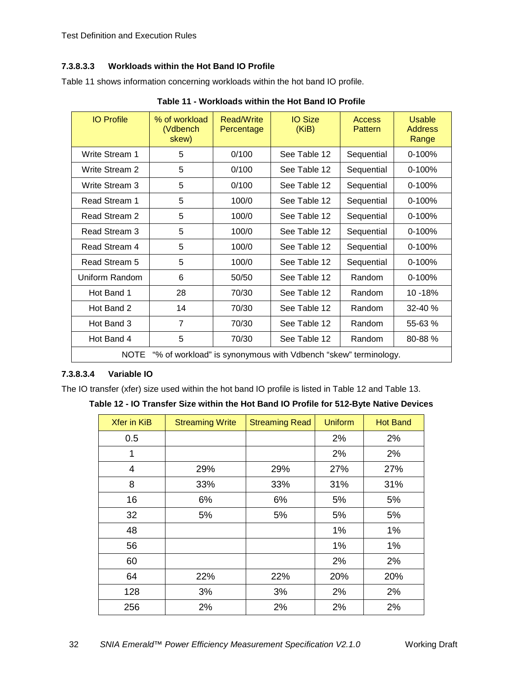## **7.3.8.3.3 Workloads within the Hot Band IO Profile**

[Table 11](#page-31-0) shows information concerning workloads within the hot band IO profile.

<span id="page-31-0"></span>

| <b>IO Profile</b>                                                             | % of workload<br>(Vdbench<br>skew) | Read/Write<br>Percentage | <b>IO Size</b><br>(KiB) | <b>Access</b><br><b>Pattern</b> | <b>Usable</b><br><b>Address</b><br>Range |
|-------------------------------------------------------------------------------|------------------------------------|--------------------------|-------------------------|---------------------------------|------------------------------------------|
| <b>Write Stream 1</b>                                                         | 5                                  | 0/100                    | See Table 12            | Sequential                      | 0-100%                                   |
| Write Stream 2                                                                | 5                                  | 0/100                    | See Table 12            | Sequential                      | $0-100%$                                 |
| Write Stream 3                                                                | 5                                  | 0/100                    | See Table 12            | Sequential                      | $0-100%$                                 |
| Read Stream 1                                                                 | 5                                  | 100/0                    | See Table 12            | Sequential                      | 0-100%                                   |
| Read Stream 2                                                                 | 5                                  | 100/0                    | See Table 12            | Sequential                      | $0-100%$                                 |
| Read Stream 3                                                                 | 5                                  | 100/0                    | See Table 12            | Sequential                      | $0-100%$                                 |
| Read Stream 4                                                                 | 5                                  | 100/0                    | See Table 12            | Sequential                      | $0-100%$                                 |
| Read Stream 5                                                                 | 5                                  | 100/0                    | See Table 12            | Sequential                      | $0-100%$                                 |
| Uniform Random                                                                | 6                                  | 50/50                    | See Table 12            | Random                          | $0-100%$                                 |
| Hot Band 1                                                                    | 28                                 | 70/30                    | See Table 12            | Random                          | 10 - 18%                                 |
| Hot Band 2                                                                    | 14                                 | 70/30                    | See Table 12            | Random                          | 32-40 %                                  |
| Hot Band 3                                                                    | $\overline{7}$                     | 70/30                    | See Table 12            | Random                          | 55-63 %                                  |
| Hot Band 4                                                                    | 5                                  | 70/30                    | See Table 12            | Random                          | 80-88%                                   |
| <b>NOTE</b><br>"% of workload" is synonymous with Vdbench "skew" terminology. |                                    |                          |                         |                                 |                                          |

**Table 11 - Workloads within the Hot Band IO Profile**

## **7.3.8.3.4 Variable IO**

<span id="page-31-1"></span>The IO transfer (xfer) size used within the hot band IO profile is listed in [Table 12](#page-31-1) and [Table 13.](#page-32-0)

**Table 12 - IO Transfer Size within the Hot Band IO Profile for 512-Byte Native Devices**

| <b>Xfer in KiB</b> | <b>Streaming Write</b> | <b>Streaming Read</b> | <b>Uniform</b> | <b>Hot Band</b> |
|--------------------|------------------------|-----------------------|----------------|-----------------|
| 0.5                |                        |                       | 2%             | 2%              |
| $\mathbf 1$        |                        |                       | 2%             | 2%              |
| 4                  | 29%                    | 29%                   | 27%            | 27%             |
| 8                  | 33%                    | 33%                   | 31%            | 31%             |
| 16                 | 6%                     | 6%                    | 5%             | 5%              |
| 32                 | 5%                     | 5%                    | 5%             | 5%              |
| 48                 |                        |                       | 1%             | $1\%$           |
| 56                 |                        |                       | 1%             | $1\%$           |
| 60                 |                        |                       | 2%             | 2%              |
| 64                 | 22%                    | 22%                   | 20%            | 20%             |
| 128                | 3%                     | 3%                    | 2%             | 2%              |
| 256                | 2%                     | 2%                    | 2%             | 2%              |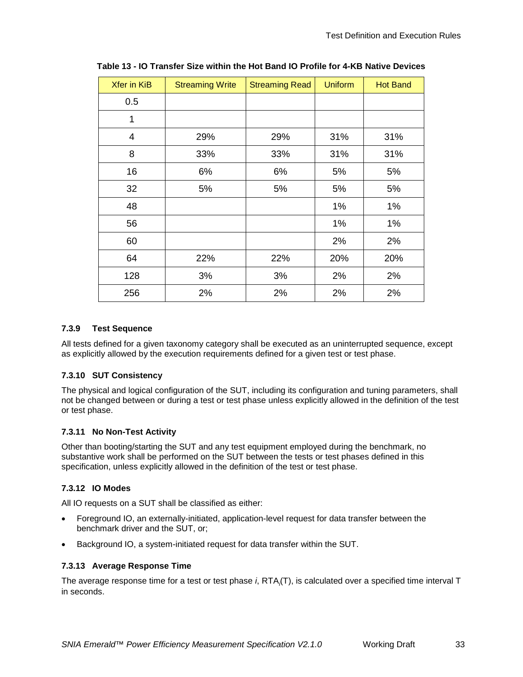| <b>Xfer in KiB</b> | <b>Streaming Write</b> | <b>Streaming Read</b> | <b>Uniform</b> | <b>Hot Band</b> |
|--------------------|------------------------|-----------------------|----------------|-----------------|
| 0.5                |                        |                       |                |                 |
| 1                  |                        |                       |                |                 |
| 4                  | 29%                    | 29%                   | 31%            | 31%             |
| 8                  | 33%                    | 33%                   | 31%            | 31%             |
| 16                 | 6%                     | 6%                    | 5%             | 5%              |
| 32                 | 5%                     | 5%                    | 5%             | 5%              |
| 48                 |                        |                       | 1%             | 1%              |
| 56                 |                        |                       | 1%             | 1%              |
| 60                 |                        |                       | 2%             | 2%              |
| 64                 | 22%                    | 22%                   | 20%            | 20%             |
| 128                | 3%                     | 3%                    | 2%             | 2%              |
| 256                | 2%                     | 2%                    | 2%             | 2%              |

<span id="page-32-0"></span>**Table 13 - IO Transfer Size within the Hot Band IO Profile for 4-KB Native Devices**

#### **7.3.9 Test Sequence**

All tests defined for a given taxonomy category shall be executed as an uninterrupted sequence, except as explicitly allowed by the execution requirements defined for a given test or test phase.

## **7.3.10 SUT Consistency**

The physical and logical configuration of the SUT, including its configuration and tuning parameters, shall not be changed between or during a test or test phase unless explicitly allowed in the definition of the test or test phase.

#### **7.3.11 No Non-Test Activity**

Other than booting/starting the SUT and any test equipment employed during the benchmark, no substantive work shall be performed on the SUT between the tests or test phases defined in this specification, unless explicitly allowed in the definition of the test or test phase.

## **7.3.12 IO Modes**

All IO requests on a SUT shall be classified as either:

- Foreground IO, an externally-initiated, application-level request for data transfer between the benchmark driver and the SUT, or;
- Background IO, a system-initiated request for data transfer within the SUT.

#### <span id="page-32-1"></span>**7.3.13 Average Response Time**

The average response time for a test or test phase *i*, RTA<sub>i</sub>(T), is calculated over a specified time interval T in seconds.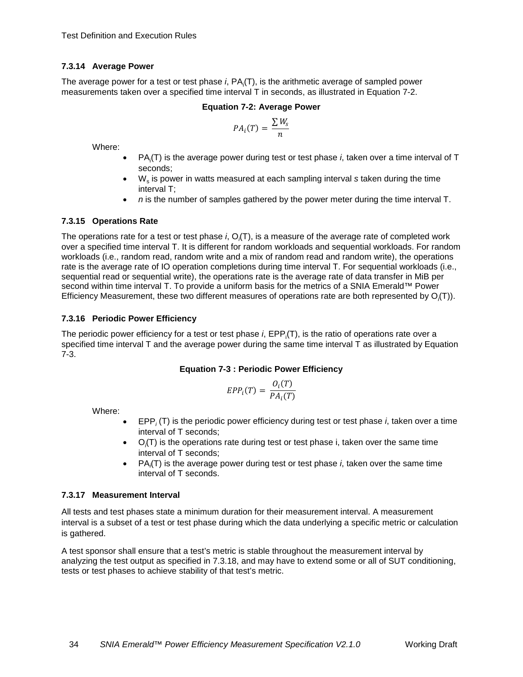## <span id="page-33-4"></span>**7.3.14 Average Power**

<span id="page-33-0"></span>The average power for a test or test phase *i*, PA<sub>i</sub>(T), is the arithmetic average of sampled power measurements taken over a specified time interval T in seconds, as illustrated in [Equation 7-2.](#page-33-0)

### **Equation 7-2: Average Power**

$$
PA_i(T) = \frac{\sum W_s}{n}
$$

Where:

- PA<sub>i</sub>(T) is the average power during test or test phase *i*, taken over a time interval of T seconds;
- W<sub>s</sub> is power in watts measured at each sampling interval *s* taken during the time interval T;
- *n* is the number of samples gathered by the power meter during the time interval T.

## <span id="page-33-5"></span>**7.3.15 Operations Rate**

The operations rate for a test or test phase *i*, O<sub>i</sub>(T), is a measure of the average rate of completed work over a specified time interval T. It is different for random workloads and sequential workloads. For random workloads (i.e., random read, random write and a mix of random read and random write), the operations rate is the average rate of IO operation completions during time interval T. For sequential workloads (i.e., sequential read or sequential write), the operations rate is the average rate of data transfer in MiB per second within time interval T. To provide a uniform basis for the metrics of a SNIA Emerald™ Power Efficiency Measurement, these two different measures of operations rate are both represented by O*<sup>i</sup>* (T)).

## <span id="page-33-3"></span>**7.3.16 Periodic Power Efficiency**

<span id="page-33-1"></span>The periodic power efficiency for a test or test phase *i*, EPP<sub>i</sub>(T), is the ratio of operations rate over a specified time interval T and the average power during the same time interval T as illustrated by [Equation](#page-33-1)  [7-3.](#page-33-1)

## **Equation 7-3 : Periodic Power Efficiency**

$$
EPP_i(T) = \frac{O_i(T)}{PA_i(T)}
$$

Where:

- EPP*<sup>i</sup>* (T) is the periodic power efficiency during test or test phase *i*, taken over a time interval of T seconds;
- O*<sup>i</sup>* (T) is the operations rate during test or test phase i, taken over the same time interval of T seconds;
- PA*<sup>i</sup>* (T) is the average power during test or test phase *i*, taken over the same time interval of T seconds.

## <span id="page-33-2"></span>**7.3.17 Measurement Interval**

All tests and test phases state a minimum duration for their measurement interval. A measurement interval is a subset of a test or test phase during which the data underlying a specific metric or calculation is gathered.

A test sponsor shall ensure that a test's metric is stable throughout the measurement interval by analyzing the test output as specified in [7.3.18,](#page-34-0) and may have to extend some or all of SUT conditioning, tests or test phases to achieve stability of that test's metric.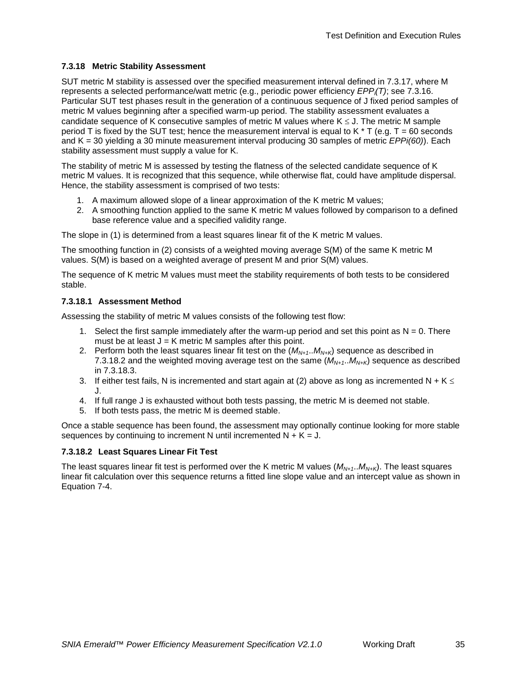## <span id="page-34-0"></span>**7.3.18 Metric Stability Assessment**

SUT metric M stability is assessed over the specified measurement interval defined in [7.3.17,](#page-33-2) where M represents a selected performance/watt metric (e.g., periodic power efficiency *EPPi (T)*; see [7.3.16.](#page-33-3) Particular SUT test phases result in the generation of a continuous sequence of J fixed period samples of metric M values beginning after a specified warm-up period. The stability assessment evaluates a candidate sequence of K consecutive samples of metric M values where  $K \le J$ . The metric M sample period T is fixed by the SUT test; hence the measurement interval is equal to K  $*$  T (e.g. T = 60 seconds and K = 30 yielding a 30 minute measurement interval producing 30 samples of metric *EPPi(60)*). Each stability assessment must supply a value for K.

The stability of metric M is assessed by testing the flatness of the selected candidate sequence of K metric M values. It is recognized that this sequence, while otherwise flat, could have amplitude dispersal. Hence, the stability assessment is comprised of two tests:

- 1. A maximum allowed slope of a linear approximation of the K metric M values;
- 2. A smoothing function applied to the same K metric M values followed by comparison to a defined base reference value and a specified validity range.

The slope in (1) is determined from a least squares linear fit of the K metric M values.

The smoothing function in (2) consists of a weighted moving average S(M) of the same K metric M values. S(M) is based on a weighted average of present M and prior S(M) values.

The sequence of K metric M values must meet the stability requirements of both tests to be considered stable.

## **7.3.18.1 Assessment Method**

Assessing the stability of metric M values consists of the following test flow:

- 1. Select the first sample immediately after the warm-up period and set this point as  $N = 0$ . There must be at least  $J = K$  metric M samples after this point.
- 2. Perform both the least squares linear fit test on the  $(M<sub>M+1</sub>, M<sub>N+K</sub>)$  sequence as described in [7.3.18.2](#page-34-1) and the weighted moving average test on the same  $(M_{N+1}..M_{N+K})$  sequence as described in [7.3.18.3.](#page-35-3)
- 3. If either test fails, N is incremented and start again at (2) above as long as incremented N + K  $\leq$ J.
- 4. If full range J is exhausted without both tests passing, the metric M is deemed not stable.
- 5. If both tests pass, the metric M is deemed stable.

Once a stable sequence has been found, the assessment may optionally continue looking for more stable sequences by continuing to increment N until incremented  $N + K = J$ .

## <span id="page-34-1"></span>**7.3.18.2 Least Squares Linear Fit Test**

The least squares linear fit test is performed over the K metric M values (*MN+1*..*MN+K*). The least squares linear fit calculation over this sequence returns a fitted line slope value and an intercept value as shown in [Equation 7-4.](#page-35-1)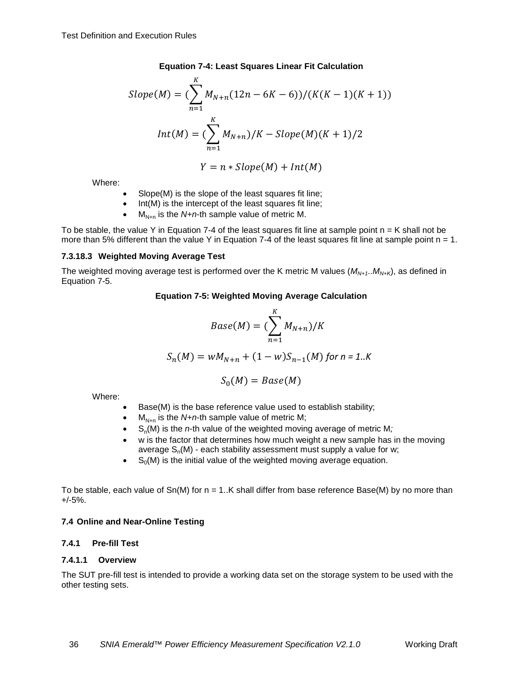#### **Equation 7-4: Least Squares Linear Fit Calculation**

<span id="page-35-1"></span>Slope(M) = 
$$
(\sum_{n=1}^{K} M_{N+n}(12n - 6K - 6))/(K(K - 1)(K + 1))
$$
  
\n $Int(M) = (\sum_{n=1}^{K} M_{N+n})/K - Slope(M)(K + 1)/2$   
\n $Y = n * Slope(M) + Int(M)$ 

Where:

- Slope(M) is the slope of the least squares fit line;
- Int(M) is the intercept of the least squares fit line;
- $M_{N+n}$  is the *N+n*-th sample value of metric M.

To be stable, the value Y in [Equation 7-4](#page-35-1) of the least squares fit line at sample point  $n = K$  shall not be more than 5% different than the value Y in [Equation 7-4](#page-35-1) of the least squares fit line at sample point  $n = 1$ .

## <span id="page-35-3"></span>**7.3.18.3 Weighted Moving Average Test**

<span id="page-35-2"></span>The weighted moving average test is performed over the K metric M values  $(M_{N+1}..M_{N+K})$ , as defined in [Equation 7-5.](#page-35-2)

#### **Equation 7-5: Weighted Moving Average Calculation**

$$
Base(M) = (\sum_{n=1}^{K} M_{N+n})/K
$$

$$
S_n(M) = wM_{N+n} + (1 - w)S_{n-1}(M)
$$
 for  $n = 1..K$ 

$$
S_0(M)=Base(M)
$$

Where:

- Base(M) is the base reference value used to establish stability;
- $M_{N+n}$  is the *N+n*-th sample value of metric M;
- S<sub>n</sub>(M) is the *n*-th value of the weighted moving average of metric M;
- w is the factor that determines how much weight a new sample has in the moving average  $S_n(M)$  - each stability assessment must supply a value for w;
- $S_0(M)$  is the initial value of the weighted moving average equation.

To be stable, each value of  $Sn(M)$  for  $n = 1..K$  shall differ from base reference Base(M) by no more than +/-5%.

## <span id="page-35-0"></span>**7.4 Online and Near-Online Testing**

## **7.4.1 Pre-fill Test**

## **7.4.1.1 Overview**

The SUT pre-fill test is intended to provide a working data set on the storage system to be used with the other testing sets.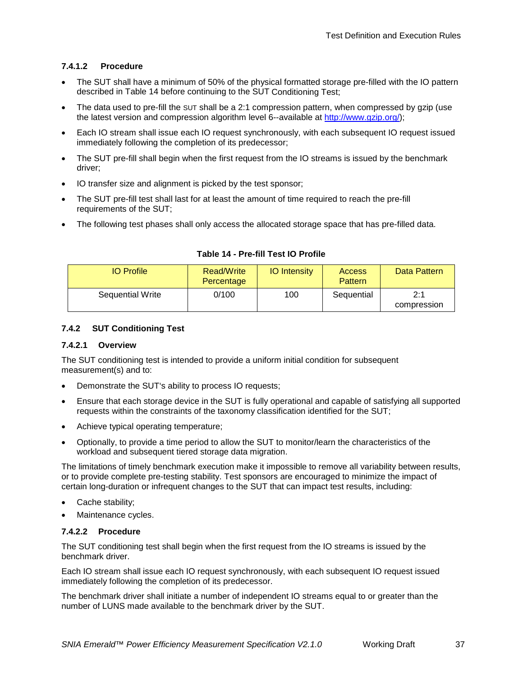## **7.4.1.2 Procedure**

- The SUT shall have a minimum of 50% of the physical formatted storage pre-filled with the IO pattern described in [Table 14](#page-36-0) before continuing to the SUT Conditioning Test;
- The data used to pre-fill the SUT shall be a 2:1 compression pattern, when compressed by gzip (use the latest version and compression algorithm level 6--available at [http://www.gzip.org/\)](http://www.gzip.org/);
- Each IO stream shall issue each IO request synchronously, with each subsequent IO request issued immediately following the completion of its predecessor;
- The SUT pre-fill shall begin when the first request from the IO streams is issued by the benchmark driver;
- IO transfer size and alignment is picked by the test sponsor;
- The SUT pre-fill test shall last for at least the amount of time required to reach the pre-fill requirements of the SUT;
- The following test phases shall only access the allocated storage space that has pre-filled data.

<span id="page-36-0"></span>

| <b>IO</b> Profile       | Read/Write<br>Percentage | <b>IO</b> Intensity | <b>Access</b><br>Pattern | Data Pattern       |
|-------------------------|--------------------------|---------------------|--------------------------|--------------------|
| <b>Sequential Write</b> | 0/100                    | 100                 | Sequential               | 2:1<br>compression |

## **Table 14 - Pre-fill Test IO Profile**

## **7.4.2 SUT Conditioning Test**

#### <span id="page-36-1"></span>**7.4.2.1 Overview**

The SUT conditioning test is intended to provide a uniform initial condition for subsequent measurement(s) and to:

- Demonstrate the SUT's ability to process IO requests;
- Ensure that each storage device in the SUT is fully operational and capable of satisfying all supported requests within the constraints of the taxonomy classification identified for the SUT;
- Achieve typical operating temperature;
- Optionally, to provide a time period to allow the SUT to monitor/learn the characteristics of the workload and subsequent tiered storage data migration.

The limitations of timely benchmark execution make it impossible to remove all variability between results, or to provide complete pre-testing stability. Test sponsors are encouraged to minimize the impact of certain long-duration or infrequent changes to the SUT that can impact test results, including:

- Cache stability;
- Maintenance cycles.

## **7.4.2.2 Procedure**

The SUT conditioning test shall begin when the first request from the IO streams is issued by the benchmark driver.

Each IO stream shall issue each IO request synchronously, with each subsequent IO request issued immediately following the completion of its predecessor.

The benchmark driver shall initiate a number of independent IO streams equal to or greater than the number of LUNS made available to the benchmark driver by the SUT.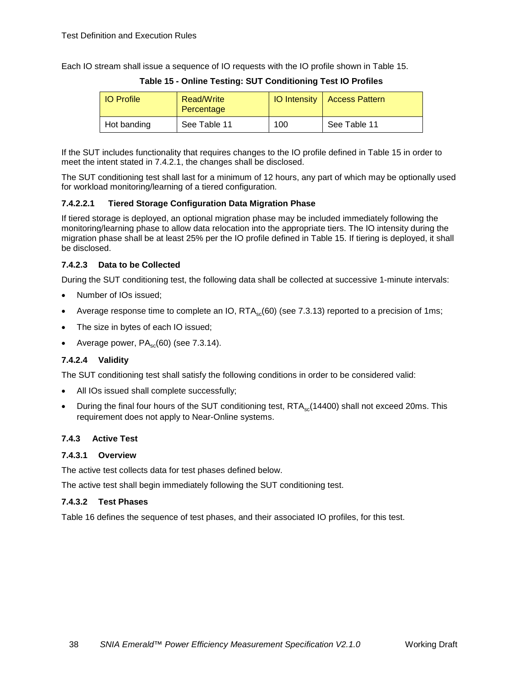<span id="page-37-0"></span>Each IO stream shall issue a sequence of IO requests with the IO profile shown in [Table 15.](#page-37-0)

| <b>IO</b> Profile | Read/Write<br>Percentage |     | <b>IO Intensity   Access Pattern</b> |
|-------------------|--------------------------|-----|--------------------------------------|
| Hot banding       | See Table 11             | 100 | See Table 11                         |

**Table 15 - Online Testing: SUT Conditioning Test IO Profiles**

If the SUT includes functionality that requires changes to the IO profile defined in [Table 15](#page-37-0) in order to meet the intent stated in [7.4.2.1,](#page-36-1) the changes shall be disclosed.

The SUT conditioning test shall last for a minimum of 12 hours, any part of which may be optionally used for workload monitoring/learning of a tiered configuration.

#### **7.4.2.2.1 Tiered Storage Configuration Data Migration Phase**

If tiered storage is deployed, an optional migration phase may be included immediately following the monitoring/learning phase to allow data relocation into the appropriate tiers. The IO intensity during the migration phase shall be at least 25% per the IO profile defined in [Table 15.](#page-37-0) If tiering is deployed, it shall be disclosed.

## **7.4.2.3 Data to be Collected**

During the SUT conditioning test, the following data shall be collected at successive 1-minute intervals:

- Number of IOs issued;
- Average response time to complete an IO,  $RTA_{sc}(60)$  (see [7.3.13\)](#page-32-1) reported to a precision of 1ms;
- The size in bytes of each IO issued;
- Average power,  $PA_{sc}(60)$  (see [7.3.14\)](#page-33-4).

## **7.4.2.4 Validity**

The SUT conditioning test shall satisfy the following conditions in order to be considered valid:

- All IOs issued shall complete successfully;
- During the final four hours of the SUT conditioning test, RTA<sub>sc</sub>(14400) shall not exceed 20ms. This requirement does not apply to Near-Online systems.

#### **7.4.3 Active Test**

#### **7.4.3.1 Overview**

The active test collects data for test phases defined below.

The active test shall begin immediately following the SUT conditioning test.

#### **7.4.3.2 Test Phases**

[Table 16](#page-38-0) defines the sequence of test phases, and their associated IO profiles, for this test.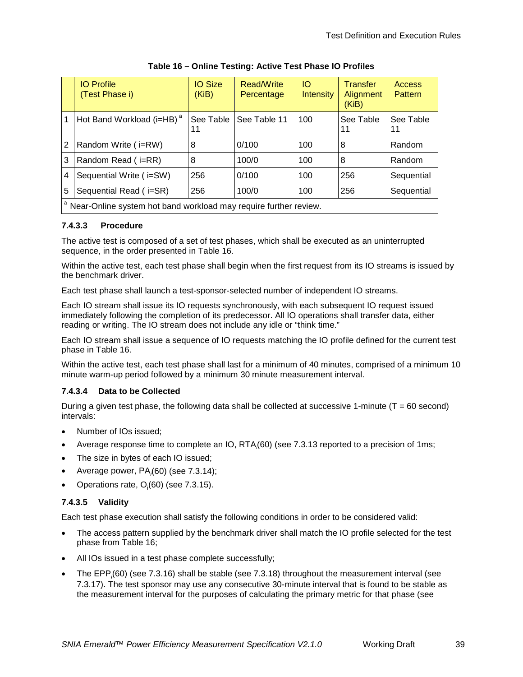<span id="page-38-0"></span>

|   | <b>IO</b> Profile<br>(Test Phase i)                                           | <b>IO Size</b><br>(KiB) | Read/Write<br>Percentage | <b>IO</b><br><b>Intensity</b> | <b>Transfer</b><br>Alignment<br>(KiB). | Access<br>Pattern |  |
|---|-------------------------------------------------------------------------------|-------------------------|--------------------------|-------------------------------|----------------------------------------|-------------------|--|
|   | Hot Band Workload (i=HB) <sup>a</sup>                                         | See Table<br>11         | See Table 11             | 100                           | See Table<br>11                        | See Table<br>11   |  |
| 2 | Random Write (i=RW)                                                           | 8                       | 0/100                    | 100                           | 8                                      | Random            |  |
| 3 | Random Read (i=RR)                                                            | 8                       | 100/0                    | 100                           | 8                                      | Random            |  |
| 4 | Sequential Write (i=SW)                                                       | 256                     | 0/100                    | 100                           | 256                                    | Sequential        |  |
| 5 | Sequential Read (i=SR)                                                        | 256                     | 100/0                    | 100                           | 256                                    | Sequential        |  |
|   | <sup>a</sup> Near-Online system hot band workload may require further review. |                         |                          |                               |                                        |                   |  |

| Table 16 - Online Testing: Active Test Phase IO Profiles |  |
|----------------------------------------------------------|--|
|----------------------------------------------------------|--|

## **7.4.3.3 Procedure**

The active test is composed of a set of test phases, which shall be executed as an uninterrupted sequence, in the order presented in [Table 16.](#page-38-0)

Within the active test, each test phase shall begin when the first request from its IO streams is issued by the benchmark driver.

Each test phase shall launch a test-sponsor-selected number of independent IO streams.

Each IO stream shall issue its IO requests synchronously, with each subsequent IO request issued immediately following the completion of its predecessor. All IO operations shall transfer data, either reading or writing. The IO stream does not include any idle or "think time."

Each IO stream shall issue a sequence of IO requests matching the IO profile defined for the current test phase in [Table 16.](#page-38-0)

Within the active test, each test phase shall last for a minimum of 40 minutes, comprised of a minimum 10 minute warm-up period followed by a minimum 30 minute measurement interval.

## **7.4.3.4 Data to be Collected**

During a given test phase, the following data shall be collected at successive 1-minute ( $T = 60$  second) intervals:

- Number of IOs issued;
- Average response time to complete an IO, RTA<sub>(60)</sub> (see [7.3.13](#page-32-1) reported to a precision of 1ms;
- The size in bytes of each IO issued;
- Average power, PA*<sup>i</sup>* (60) (see [7.3.14\)](#page-33-4);
- Operations rate,  $O_i(60)$  (see [7.3.15\)](#page-33-5).

## **7.4.3.5 Validity**

Each test phase execution shall satisfy the following conditions in order to be considered valid:

- The access pattern supplied by the benchmark driver shall match the IO profile selected for the test phase from [Table 16;](#page-38-0)
- All IOs issued in a test phase complete successfully;
- The EPP*<sup>i</sup>* (60) (see [7.3.16\)](#page-33-3) shall be stable (see [7.3.18\)](#page-34-0) throughout the measurement interval (see [7.3.17\)](#page-33-2). The test sponsor may use any consecutive 30-minute interval that is found to be stable as the measurement interval for the purposes of calculating the primary metric for that phase (see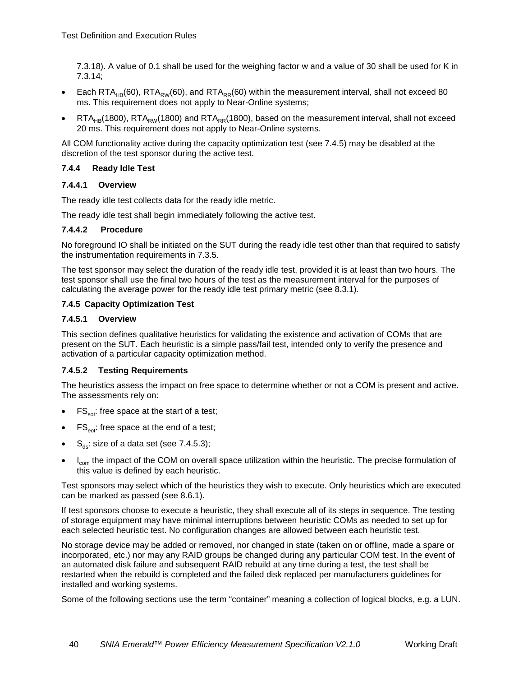[7.3.18\)](#page-34-0). A value of 0.1 shall be used for the weighing factor w and a value of 30 shall be used for K in 7.3.14;

- Each RTA<sub>HB</sub>(60), RTA<sub>RW</sub>(60), and RTA<sub>RR</sub>(60) within the measurement interval, shall not exceed 80 ms. This requirement does not apply to Near-Online systems;
- $RTA_{HR}(1800)$ , RTA<sub>RW</sub>(1800) and RTA<sub>RR</sub>(1800), based on the measurement interval, shall not exceed 20 ms. This requirement does not apply to Near-Online systems.

All COM functionality active during the capacity optimization test (see [7.4.5\)](#page-39-0) may be disabled at the discretion of the test sponsor during the active test.

## **7.4.4 Ready Idle Test**

#### **7.4.4.1 Overview**

The ready idle test collects data for the ready idle metric.

The ready idle test shall begin immediately following the active test.

#### **7.4.4.2 Procedure**

No foreground IO shall be initiated on the SUT during the ready idle test other than that required to satisfy the instrumentation requirements in [7.3.5.](#page-28-3)

The test sponsor may select the duration of the ready idle test, provided it is at least than two hours. The test sponsor shall use the final two hours of the test as the measurement interval for the purposes of calculating the average power for the ready idle test primary metric (see [8.3.1\)](#page-54-4).

#### <span id="page-39-0"></span>**7.4.5 Capacity Optimization Test**

#### **7.4.5.1 Overview**

This section defines qualitative heuristics for validating the existence and activation of COMs that are present on the SUT. Each heuristic is a simple pass/fail test, intended only to verify the presence and activation of a particular capacity optimization method.

#### **7.4.5.2 Testing Requirements**

The heuristics assess the impact on free space to determine whether or not a COM is present and active. The assessments rely on:

- $FS_{\text{sot}}$ : free space at the start of a test;
- $FS<sub>eot</sub>:$  free space at the end of a test;
- $S_{ds}$ : size of a data set (see [7.4.5.3\)](#page-40-1);
- I<sub>com</sub> the impact of the COM on overall space utilization within the heuristic. The precise formulation of this value is defined by each heuristic.

Test sponsors may select which of the heuristics they wish to execute. Only heuristics which are executed can be marked as passed (see [8.6.1\)](#page-56-2).

If test sponsors choose to execute a heuristic, they shall execute all of its steps in sequence. The testing of storage equipment may have minimal interruptions between heuristic COMs as needed to set up for each selected heuristic test. No configuration changes are allowed between each heuristic test.

No storage device may be added or removed, nor changed in state (taken on or offline, made a spare or incorporated, etc.) nor may any RAID groups be changed during any particular COM test. In the event of an automated disk failure and subsequent RAID rebuild at any time during a test, the test shall be restarted when the rebuild is completed and the failed disk replaced per manufacturers guidelines for installed and working systems.

Some of the following sections use the term "container" meaning a collection of logical blocks, e.g. a LUN.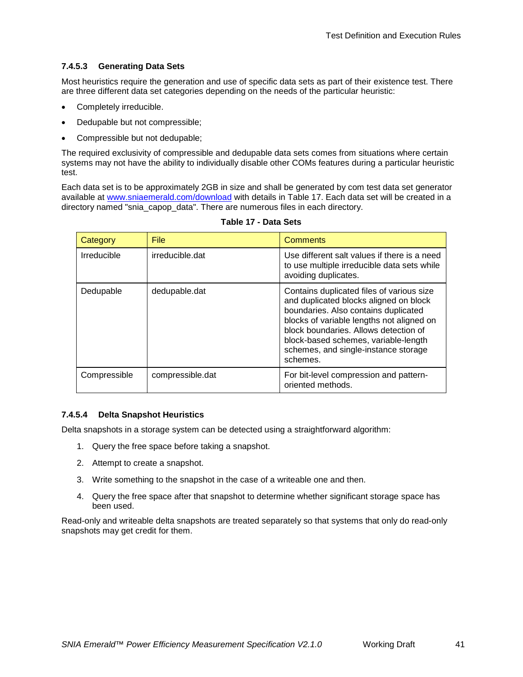## <span id="page-40-1"></span>**7.4.5.3 Generating Data Sets**

Most heuristics require the generation and use of specific data sets as part of their existence test. There are three different data set categories depending on the needs of the particular heuristic:

- Completely irreducible.
- Dedupable but not compressible;
- Compressible but not dedupable;

The required exclusivity of compressible and dedupable data sets comes from situations where certain systems may not have the ability to individually disable other COMs features during a particular heuristic test.

Each data set is to be approximately 2GB in size and shall be generated by com test data set generator available at [www.sniaemerald.com/download](http://www.sniaemerald.com/download) with details in [Table 17.](#page-40-0) Each data set will be created in a directory named "snia\_capop\_data". There are numerous files in each directory.

<span id="page-40-0"></span>

| Category           | <b>File</b>      | <b>Comments</b>                                                                                                                                                                                                                                                                                               |
|--------------------|------------------|---------------------------------------------------------------------------------------------------------------------------------------------------------------------------------------------------------------------------------------------------------------------------------------------------------------|
| <b>Irreducible</b> | irreducible.dat  | Use different salt values if there is a need<br>to use multiple irreducible data sets while<br>avoiding duplicates.                                                                                                                                                                                           |
| Dedupable          | dedupable.dat    | Contains duplicated files of various size<br>and duplicated blocks aligned on block<br>boundaries. Also contains duplicated<br>blocks of variable lengths not aligned on<br>block boundaries. Allows detection of<br>block-based schemes, variable-length<br>schemes, and single-instance storage<br>schemes. |
| Compressible       | compressible.dat | For bit-level compression and pattern-<br>oriented methods.                                                                                                                                                                                                                                                   |

| Table 17 - Data Sets |  |  |
|----------------------|--|--|
|----------------------|--|--|

## **7.4.5.4 Delta Snapshot Heuristics**

Delta snapshots in a storage system can be detected using a straightforward algorithm:

- 1. Query the free space before taking a snapshot.
- 2. Attempt to create a snapshot.
- 3. Write something to the snapshot in the case of a writeable one and then.
- 4. Query the free space after that snapshot to determine whether significant storage space has been used.

Read-only and writeable delta snapshots are treated separately so that systems that only do read-only snapshots may get credit for them.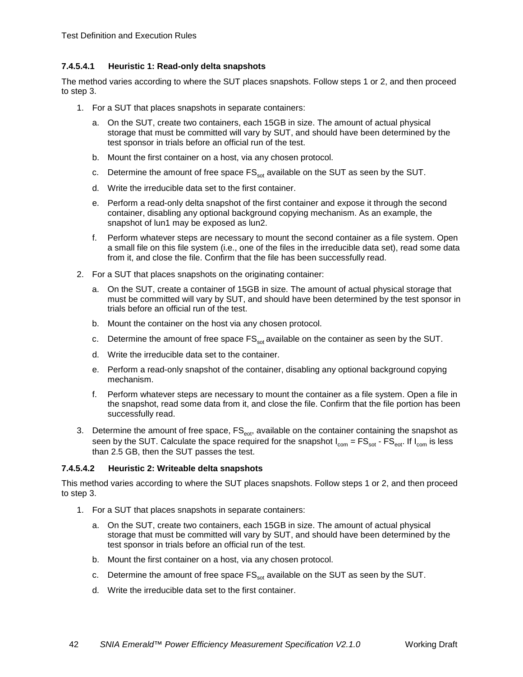## **7.4.5.4.1 Heuristic 1: Read-only delta snapshots**

The method varies according to where the SUT places snapshots. Follow steps 1 or 2, and then proceed to step 3.

- 1. For a SUT that places snapshots in separate containers:
	- a. On the SUT, create two containers, each 15GB in size. The amount of actual physical storage that must be committed will vary by SUT, and should have been determined by the test sponsor in trials before an official run of the test.
	- b. Mount the first container on a host, via any chosen protocol.
	- c. Determine the amount of free space  $FS_{\text{sat}}$  available on the SUT as seen by the SUT.
	- d. Write the irreducible data set to the first container.
	- e. Perform a read-only delta snapshot of the first container and expose it through the second container, disabling any optional background copying mechanism. As an example, the snapshot of lun1 may be exposed as lun2.
	- f. Perform whatever steps are necessary to mount the second container as a file system. Open a small file on this file system (i.e., one of the files in the irreducible data set), read some data from it, and close the file. Confirm that the file has been successfully read.
- 2. For a SUT that places snapshots on the originating container:
	- a. On the SUT, create a container of 15GB in size. The amount of actual physical storage that must be committed will vary by SUT, and should have been determined by the test sponsor in trials before an official run of the test.
	- b. Mount the container on the host via any chosen protocol.
	- c. Determine the amount of free space  $FS_{\text{sat}}$  available on the container as seen by the SUT.
	- d. Write the irreducible data set to the container.
	- e. Perform a read-only snapshot of the container, disabling any optional background copying mechanism.
	- f. Perform whatever steps are necessary to mount the container as a file system. Open a file in the snapshot, read some data from it, and close the file. Confirm that the file portion has been successfully read.
- 3. Determine the amount of free space, FS<sub>eot</sub>, available on the container containing the snapshot as seen by the SUT. Calculate the space required for the snapshot  $I_{com} = FS_{sot} - FS_{eot}$ . If  $I_{com}$  is less than 2.5 GB, then the SUT passes the test.

## **7.4.5.4.2 Heuristic 2: Writeable delta snapshots**

This method varies according to where the SUT places snapshots. Follow steps 1 or 2, and then proceed to step 3.

- 1. For a SUT that places snapshots in separate containers:
	- a. On the SUT, create two containers, each 15GB in size. The amount of actual physical storage that must be committed will vary by SUT, and should have been determined by the test sponsor in trials before an official run of the test.
	- b. Mount the first container on a host, via any chosen protocol.
	- c. Determine the amount of free space  $FS<sub>est</sub>$  available on the SUT as seen by the SUT.
	- d. Write the irreducible data set to the first container.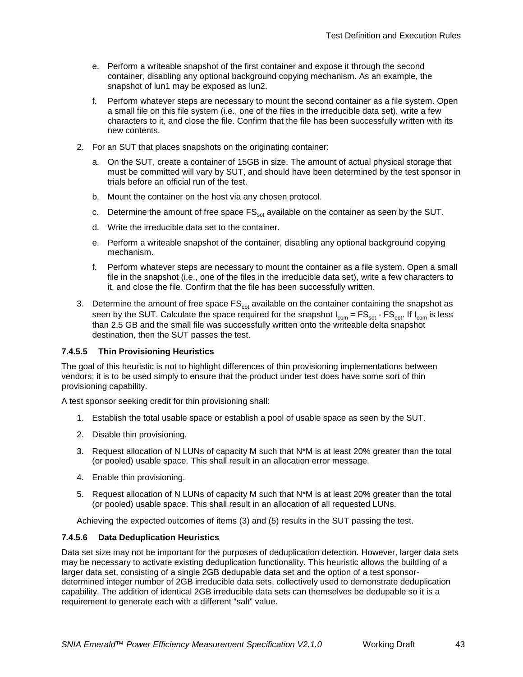- e. Perform a writeable snapshot of the first container and expose it through the second container, disabling any optional background copying mechanism. As an example, the snapshot of lun1 may be exposed as lun2.
- f. Perform whatever steps are necessary to mount the second container as a file system. Open a small file on this file system (i.e., one of the files in the irreducible data set), write a few characters to it, and close the file. Confirm that the file has been successfully written with its new contents.
- 2. For an SUT that places snapshots on the originating container:
	- a. On the SUT, create a container of 15GB in size. The amount of actual physical storage that must be committed will vary by SUT, and should have been determined by the test sponsor in trials before an official run of the test.
	- b. Mount the container on the host via any chosen protocol.
	- c. Determine the amount of free space  $FS_{\text{tot}}$  available on the container as seen by the SUT.
	- d. Write the irreducible data set to the container.
	- e. Perform a writeable snapshot of the container, disabling any optional background copying mechanism.
	- f. Perform whatever steps are necessary to mount the container as a file system. Open a small file in the snapshot (i.e., one of the files in the irreducible data set), write a few characters to it, and close the file. Confirm that the file has been successfully written.
- 3. Determine the amount of free space FS<sub>eot</sub> available on the container containing the snapshot as seen by the SUT. Calculate the space required for the snapshot  $I_{com} = FS_{sot} - FS_{eot}$ . If  $I_{com}$  is less than 2.5 GB and the small file was successfully written onto the writeable delta snapshot destination, then the SUT passes the test.

## **7.4.5.5 Thin Provisioning Heuristics**

The goal of this heuristic is not to highlight differences of thin provisioning implementations between vendors; it is to be used simply to ensure that the product under test does have some sort of thin provisioning capability.

A test sponsor seeking credit for thin provisioning shall:

- 1. Establish the total usable space or establish a pool of usable space as seen by the SUT.
- 2. Disable thin provisioning.
- 3. Request allocation of N LUNs of capacity M such that N\*M is at least 20% greater than the total (or pooled) usable space. This shall result in an allocation error message.
- 4. Enable thin provisioning.
- 5. Request allocation of N LUNs of capacity M such that N\*M is at least 20% greater than the total (or pooled) usable space. This shall result in an allocation of all requested LUNs.

Achieving the expected outcomes of items (3) and (5) results in the SUT passing the test.

#### **7.4.5.6 Data Deduplication Heuristics**

Data set size may not be important for the purposes of deduplication detection. However, larger data sets may be necessary to activate existing deduplication functionality. This heuristic allows the building of a larger data set, consisting of a single 2GB dedupable data set and the option of a test sponsordetermined integer number of 2GB irreducible data sets, collectively used to demonstrate deduplication capability. The addition of identical 2GB irreducible data sets can themselves be dedupable so it is a requirement to generate each with a different "salt" value.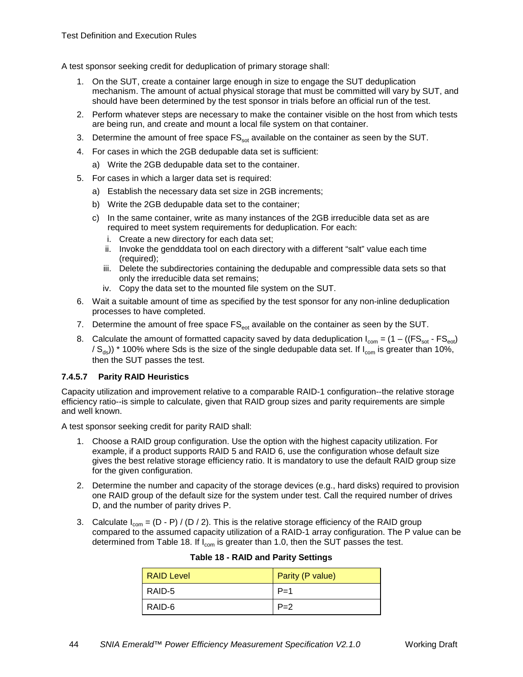A test sponsor seeking credit for deduplication of primary storage shall:

- 1. On the SUT, create a container large enough in size to engage the SUT deduplication mechanism. The amount of actual physical storage that must be committed will vary by SUT, and should have been determined by the test sponsor in trials before an official run of the test.
- 2. Perform whatever steps are necessary to make the container visible on the host from which tests are being run, and create and mount a local file system on that container.
- 3. Determine the amount of free space  $FS_{\text{tot}}$  available on the container as seen by the SUT.
- 4. For cases in which the 2GB dedupable data set is sufficient:
	- a) Write the 2GB dedupable data set to the container.
- 5. For cases in which a larger data set is required:
	- a) Establish the necessary data set size in 2GB increments;
	- b) Write the 2GB dedupable data set to the container;
	- c) In the same container, write as many instances of the 2GB irreducible data set as are required to meet system requirements for deduplication. For each:
		- i. Create a new directory for each data set;
		- ii. Invoke the gendddata tool on each directory with a different "salt" value each time (required);
		- iii. Delete the subdirectories containing the dedupable and compressible data sets so that only the irreducible data set remains;
		- iv. Copy the data set to the mounted file system on the SUT.
- 6. Wait a suitable amount of time as specified by the test sponsor for any non-inline deduplication processes to have completed.
- 7. Determine the amount of free space  $FS_{\text{ext}}$  available on the container as seen by the SUT.
- 8. Calculate the amount of formatted capacity saved by data deduplication  $I_{com} = (1 ((FS_{cor} FS_{cor}))$  $/ S_{ds}$ )) \* 100% where Sds is the size of the single dedupable data set. If I<sub>com</sub> is greater than 10%, then the SUT passes the test.

#### **7.4.5.7 Parity RAID Heuristics**

Capacity utilization and improvement relative to a comparable RAID-1 configuration--the relative storage efficiency ratio--is simple to calculate, given that RAID group sizes and parity requirements are simple and well known.

A test sponsor seeking credit for parity RAID shall:

- 1. Choose a RAID group configuration. Use the option with the highest capacity utilization. For example, if a product supports RAID 5 and RAID 6, use the configuration whose default size gives the best relative storage efficiency ratio. It is mandatory to use the default RAID group size for the given configuration.
- 2. Determine the number and capacity of the storage devices (e.g., hard disks) required to provision one RAID group of the default size for the system under test. Call the required number of drives D, and the number of parity drives P.
- <span id="page-43-0"></span>3. Calculate  $I_{com} = (D - P) / (D / 2)$ . This is the relative storage efficiency of the RAID group compared to the assumed capacity utilization of a RAID-1 array configuration. The P value can be determined from [Table 18.](#page-43-0) If  $I_{com}$  is greater than 1.0, then the SUT passes the test.

| <b>RAID Level</b> | Parity (P value) |
|-------------------|------------------|
| RAID-5            | $P=1$            |
| RAID-6            | $P=2$            |

|  |  |  |  |  | <b>Table 18 - RAID and Parity Settings</b> |
|--|--|--|--|--|--------------------------------------------|
|--|--|--|--|--|--------------------------------------------|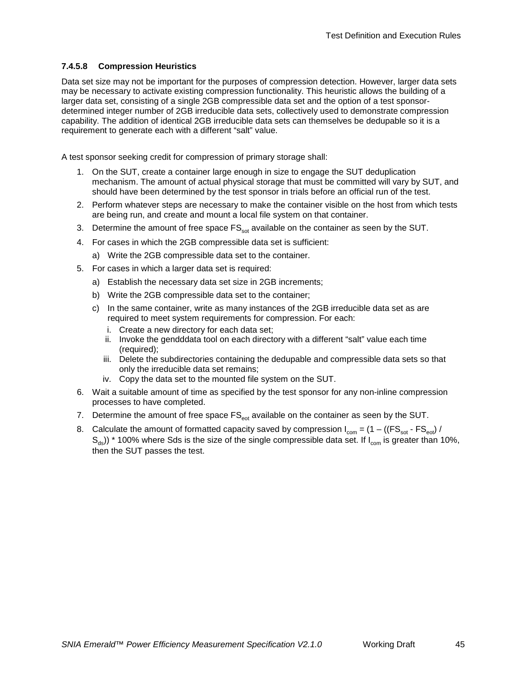### **7.4.5.8 Compression Heuristics**

Data set size may not be important for the purposes of compression detection. However, larger data sets may be necessary to activate existing compression functionality. This heuristic allows the building of a larger data set, consisting of a single 2GB compressible data set and the option of a test sponsordetermined integer number of 2GB irreducible data sets, collectively used to demonstrate compression capability. The addition of identical 2GB irreducible data sets can themselves be dedupable so it is a requirement to generate each with a different "salt" value.

A test sponsor seeking credit for compression of primary storage shall:

- 1. On the SUT, create a container large enough in size to engage the SUT deduplication mechanism. The amount of actual physical storage that must be committed will vary by SUT, and should have been determined by the test sponsor in trials before an official run of the test.
- 2. Perform whatever steps are necessary to make the container visible on the host from which tests are being run, and create and mount a local file system on that container.
- 3. Determine the amount of free space  $\text{FS}_{\text{sort}}$  available on the container as seen by the SUT.
- 4. For cases in which the 2GB compressible data set is sufficient:
	- a) Write the 2GB compressible data set to the container.
- 5. For cases in which a larger data set is required:
	- a) Establish the necessary data set size in 2GB increments;
	- b) Write the 2GB compressible data set to the container;
	- c) In the same container, write as many instances of the 2GB irreducible data set as are required to meet system requirements for compression. For each:
		- i. Create a new directory for each data set;
		- ii. Invoke the gendddata tool on each directory with a different "salt" value each time (required);
		- iii. Delete the subdirectories containing the dedupable and compressible data sets so that only the irreducible data set remains;
		- iv. Copy the data set to the mounted file system on the SUT.
- 6. Wait a suitable amount of time as specified by the test sponsor for any non-inline compression processes to have completed.
- 7. Determine the amount of free space  $FS<sub>eot</sub>$  available on the container as seen by the SUT.
- 8. Calculate the amount of formatted capacity saved by compression  $I_{com} = (1 ((FS_{sot} FS_{eot}) /$  $S_{ds}$ )) \* 100% where Sds is the size of the single compressible data set. If  $I_{com}$  is greater than 10%, then the SUT passes the test.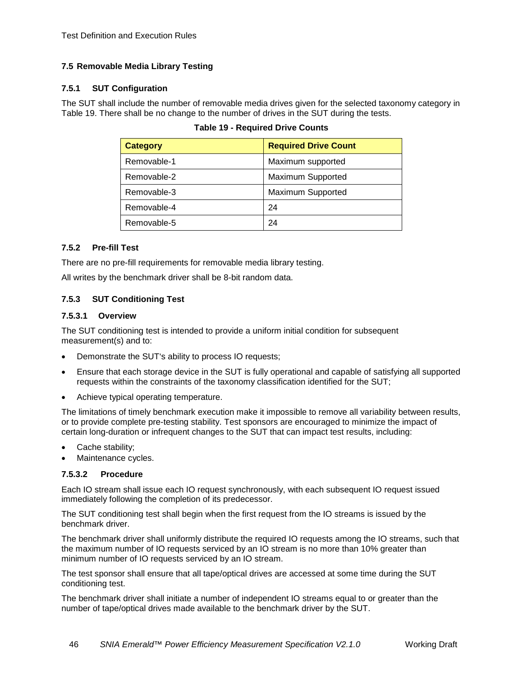## <span id="page-45-0"></span>**7.5 Removable Media Library Testing**

## **7.5.1 SUT Configuration**

<span id="page-45-1"></span>The SUT shall include the number of removable media drives given for the selected taxonomy category in [Table 19.](#page-45-1) There shall be no change to the number of drives in the SUT during the tests.

| <b>Category</b> | <b>Required Drive Count</b> |
|-----------------|-----------------------------|
| Removable-1     | Maximum supported           |
| Removable-2     | <b>Maximum Supported</b>    |
| Removable-3     | Maximum Supported           |
| Removable-4     | 24                          |
| Removable-5     | 24                          |

| <b>Table 19 - Required Drive Counts</b> |  |  |  |
|-----------------------------------------|--|--|--|
|-----------------------------------------|--|--|--|

## **7.5.2 Pre-fill Test**

There are no pre-fill requirements for removable media library testing.

All writes by the benchmark driver shall be 8-bit random data.

## **7.5.3 SUT Conditioning Test**

## <span id="page-45-2"></span>**7.5.3.1 Overview**

The SUT conditioning test is intended to provide a uniform initial condition for subsequent measurement(s) and to:

- Demonstrate the SUT's ability to process IO requests;
- Ensure that each storage device in the SUT is fully operational and capable of satisfying all supported requests within the constraints of the taxonomy classification identified for the SUT;
- Achieve typical operating temperature.

The limitations of timely benchmark execution make it impossible to remove all variability between results, or to provide complete pre-testing stability. Test sponsors are encouraged to minimize the impact of certain long-duration or infrequent changes to the SUT that can impact test results, including:

- Cache stability;
- Maintenance cycles.

## **7.5.3.2 Procedure**

Each IO stream shall issue each IO request synchronously, with each subsequent IO request issued immediately following the completion of its predecessor.

The SUT conditioning test shall begin when the first request from the IO streams is issued by the benchmark driver.

The benchmark driver shall uniformly distribute the required IO requests among the IO streams, such that the maximum number of IO requests serviced by an IO stream is no more than 10% greater than minimum number of IO requests serviced by an IO stream.

The test sponsor shall ensure that all tape/optical drives are accessed at some time during the SUT conditioning test.

The benchmark driver shall initiate a number of independent IO streams equal to or greater than the number of tape/optical drives made available to the benchmark driver by the SUT.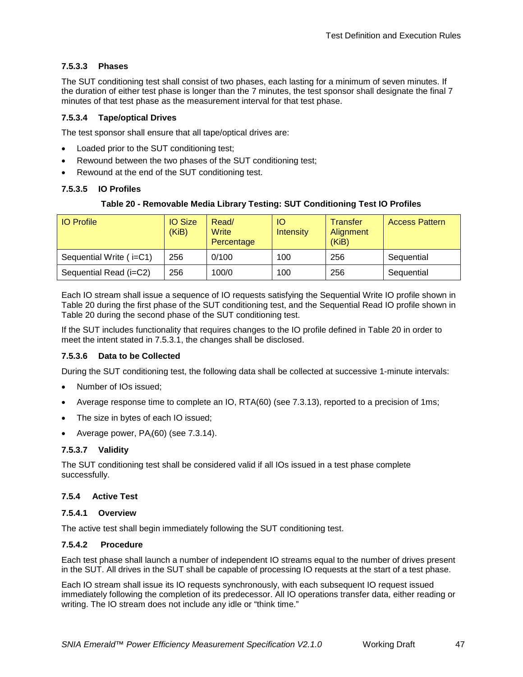## **7.5.3.3 Phases**

The SUT conditioning test shall consist of two phases, each lasting for a minimum of seven minutes. If the duration of either test phase is longer than the 7 minutes, the test sponsor shall designate the final 7 minutes of that test phase as the measurement interval for that test phase.

### **7.5.3.4 Tape/optical Drives**

The test sponsor shall ensure that all tape/optical drives are:

- Loaded prior to the SUT conditioning test;
- Rewound between the two phases of the SUT conditioning test;
- Rewound at the end of the SUT conditioning test.

#### <span id="page-46-0"></span>**7.5.3.5 IO Profiles**

#### **Table 20 - Removable Media Library Testing: SUT Conditioning Test IO Profiles**

| <b>IO</b> Profile       | <b>IO Size</b><br>(KiB) | Read/<br>Write<br>Percentage | IO<br><b>Intensity</b> | Transfer<br>Alignment<br>(KiB) | <b>Access Pattern</b> |
|-------------------------|-------------------------|------------------------------|------------------------|--------------------------------|-----------------------|
| Sequential Write (i=C1) | 256                     | 0/100                        | 100                    | 256                            | Sequential            |
| Sequential Read (i=C2)  | 256                     | 100/0                        | 100                    | 256                            | Sequential            |

Each IO stream shall issue a sequence of IO requests satisfying the Sequential Write IO profile shown in [Table 20](#page-46-0) during the first phase of the SUT conditioning test, and the Sequential Read IO profile shown in [Table 20](#page-46-0) during the second phase of the SUT conditioning test.

If the SUT includes functionality that requires changes to the IO profile defined in [Table 20](#page-46-0) in order to meet the intent stated in [7.5.3.1,](#page-45-2) the changes shall be disclosed.

#### **7.5.3.6 Data to be Collected**

During the SUT conditioning test, the following data shall be collected at successive 1-minute intervals:

- Number of IOs issued;
- Average response time to complete an IO, RTA(60) (see [7.3.13\)](#page-32-1), reported to a precision of 1ms;
- The size in bytes of each IO issued;
- Average power, PA*<sup>i</sup>* (60) (see [7.3.14\)](#page-33-4).

#### **7.5.3.7 Validity**

The SUT conditioning test shall be considered valid if all IOs issued in a test phase complete successfully.

#### **7.5.4 Active Test**

#### **7.5.4.1 Overview**

The active test shall begin immediately following the SUT conditioning test.

#### **7.5.4.2 Procedure**

Each test phase shall launch a number of independent IO streams equal to the number of drives present in the SUT. All drives in the SUT shall be capable of processing IO requests at the start of a test phase.

Each IO stream shall issue its IO requests synchronously, with each subsequent IO request issued immediately following the completion of its predecessor. All IO operations transfer data, either reading or writing. The IO stream does not include any idle or "think time."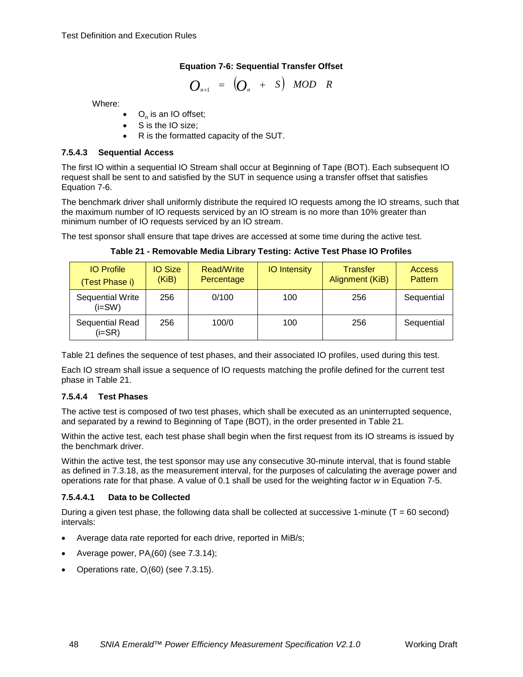## **Equation 7-6: Sequential Transfer Offset**

$$
O_{n+1} = \begin{pmatrix} O_n & + & S \end{pmatrix} \quad \text{MOD} \quad R
$$

<span id="page-47-0"></span>Where:

- $O_n$  is an IO offset;
- S is the IO size;
- R is the formatted capacity of the SUT.

#### **7.5.4.3 Sequential Access**

The first IO within a sequential IO Stream shall occur at Beginning of Tape (BOT). Each subsequent IO request shall be sent to and satisfied by the SUT in sequence using a transfer offset that satisfies [Equation 7-6.](#page-47-0)

The benchmark driver shall uniformly distribute the required IO requests among the IO streams, such that the maximum number of IO requests serviced by an IO stream is no more than 10% greater than minimum number of IO requests serviced by an IO stream.

<span id="page-47-1"></span>The test sponsor shall ensure that tape drives are accessed at some time during the active test.

| <b>IO</b> Profile<br>(Test Phase i) | <b>IO Size</b><br>(KiB) | Read/Write<br>Percentage | <b>IO</b> Intensity | <b>Transfer</b><br>Alignment (KiB) | <b>Access</b><br>Pattern |
|-------------------------------------|-------------------------|--------------------------|---------------------|------------------------------------|--------------------------|
| Sequential Write<br>$(i=SW)$        | 256                     | 0/100                    | 100                 | 256                                | Sequential               |
| Sequential Read<br>$(i=SR)$         | 256                     | 100/0                    | 100                 | 256                                | Sequential               |

**Table 21 - Removable Media Library Testing: Active Test Phase IO Profiles**

[Table 21](#page-47-1) defines the sequence of test phases, and their associated IO profiles, used during this test.

Each IO stream shall issue a sequence of IO requests matching the profile defined for the current test phase in [Table 21.](#page-47-1)

## **7.5.4.4 Test Phases**

The active test is composed of two test phases, which shall be executed as an uninterrupted sequence, and separated by a rewind to Beginning of Tape (BOT), in the order presented in [Table 21.](#page-47-1)

Within the active test, each test phase shall begin when the first request from its IO streams is issued by the benchmark driver.

Within the active test, the test sponsor may use any consecutive 30-minute interval, that is found stable as defined in [7.3.18,](#page-34-0) as the measurement interval, for the purposes of calculating the average power and operations rate for that phase. A value of 0.1 shall be used for the weighting factor *w* in [Equation 7-5.](#page-35-2)

## <span id="page-47-2"></span>**7.5.4.4.1 Data to be Collected**

During a given test phase, the following data shall be collected at successive 1-minute ( $T = 60$  second) intervals:

- Average data rate reported for each drive, reported in MiB/s;
- Average power, PA*<sup>i</sup>* (60) (see [7.3.14\)](#page-33-4);
- Operations rate,  $O_i(60)$  (see [7.3.15\)](#page-33-5).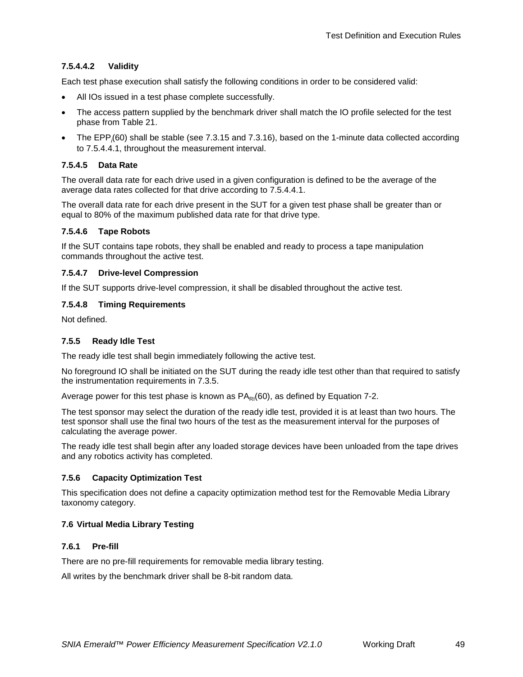## **7.5.4.4.2 Validity**

Each test phase execution shall satisfy the following conditions in order to be considered valid:

- All IOs issued in a test phase complete successfully.
- The access pattern supplied by the benchmark driver shall match the IO profile selected for the test phase from [Table 21.](#page-47-1)
- The EPP*<sup>i</sup>* (60) shall be stable (see [7.3.15](#page-33-5) and [7.3.16\)](#page-33-3), based on the 1-minute data collected according to [7.5.4.4.1,](#page-47-2) throughout the measurement interval.

#### **7.5.4.5 Data Rate**

The overall data rate for each drive used in a given configuration is defined to be the average of the average data rates collected for that drive according to [7.5.4.4.1.](#page-47-2)

The overall data rate for each drive present in the SUT for a given test phase shall be greater than or equal to 80% of the maximum published data rate for that drive type.

#### **7.5.4.6 Tape Robots**

If the SUT contains tape robots, they shall be enabled and ready to process a tape manipulation commands throughout the active test.

#### **7.5.4.7 Drive-level Compression**

If the SUT supports drive-level compression, it shall be disabled throughout the active test.

#### **7.5.4.8 Timing Requirements**

Not defined.

### **7.5.5 Ready Idle Test**

The ready idle test shall begin immediately following the active test.

No foreground IO shall be initiated on the SUT during the ready idle test other than that required to satisfy the instrumentation requirements in [7.3.5.](#page-28-3)

Average power for this test phase is known as  $PA_{\text{Pl}}(60)$ , as defined by [Equation 7-2.](#page-33-0)

The test sponsor may select the duration of the ready idle test, provided it is at least than two hours. The test sponsor shall use the final two hours of the test as the measurement interval for the purposes of calculating the average power.

The ready idle test shall begin after any loaded storage devices have been unloaded from the tape drives and any robotics activity has completed.

## **7.5.6 Capacity Optimization Test**

This specification does not define a capacity optimization method test for the Removable Media Library taxonomy category.

## <span id="page-48-0"></span>**7.6 Virtual Media Library Testing**

#### **7.6.1 Pre-fill**

There are no pre-fill requirements for removable media library testing.

All writes by the benchmark driver shall be 8-bit random data.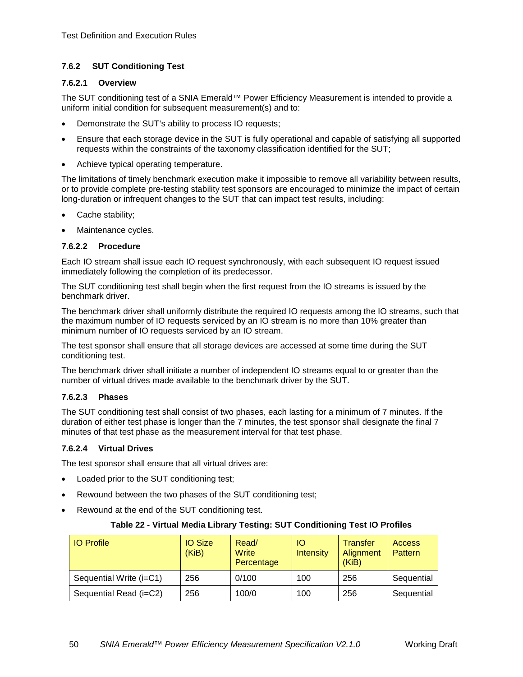## **7.6.2 SUT Conditioning Test**

### <span id="page-49-1"></span>**7.6.2.1 Overview**

The SUT conditioning test of a SNIA Emerald™ Power Efficiency Measurement is intended to provide a uniform initial condition for subsequent measurement(s) and to:

- Demonstrate the SUT's ability to process IO requests;
- Ensure that each storage device in the SUT is fully operational and capable of satisfying all supported requests within the constraints of the taxonomy classification identified for the SUT;
- Achieve typical operating temperature.

The limitations of timely benchmark execution make it impossible to remove all variability between results, or to provide complete pre-testing stability test sponsors are encouraged to minimize the impact of certain long-duration or infrequent changes to the SUT that can impact test results, including:

- Cache stability;
- Maintenance cycles.

#### **7.6.2.2 Procedure**

Each IO stream shall issue each IO request synchronously, with each subsequent IO request issued immediately following the completion of its predecessor.

The SUT conditioning test shall begin when the first request from the IO streams is issued by the benchmark driver.

The benchmark driver shall uniformly distribute the required IO requests among the IO streams, such that the maximum number of IO requests serviced by an IO stream is no more than 10% greater than minimum number of IO requests serviced by an IO stream.

The test sponsor shall ensure that all storage devices are accessed at some time during the SUT conditioning test.

The benchmark driver shall initiate a number of independent IO streams equal to or greater than the number of virtual drives made available to the benchmark driver by the SUT.

## **7.6.2.3 Phases**

The SUT conditioning test shall consist of two phases, each lasting for a minimum of 7 minutes. If the duration of either test phase is longer than the 7 minutes, the test sponsor shall designate the final 7 minutes of that test phase as the measurement interval for that test phase.

## **7.6.2.4 Virtual Drives**

The test sponsor shall ensure that all virtual drives are:

- Loaded prior to the SUT conditioning test;
- Rewound between the two phases of the SUT conditioning test;
- <span id="page-49-0"></span>• Rewound at the end of the SUT conditioning test.

## **Table 22 - Virtual Media Library Testing: SUT Conditioning Test IO Profiles**

| <b>IO Profile</b>       | <b>IO Size</b><br>(KiB) | Read/<br>Write<br>Percentage | <b>IO</b><br>Intensity | <b>Transfer</b><br>Alignment<br>(KiB) | <b>Access</b><br><b>Pattern</b> |
|-------------------------|-------------------------|------------------------------|------------------------|---------------------------------------|---------------------------------|
| Sequential Write (i=C1) | 256                     | 0/100                        | 100                    | 256                                   | Sequential                      |
| Sequential Read (i=C2)  | 256                     | 100/0                        | 100                    | 256                                   | Sequential                      |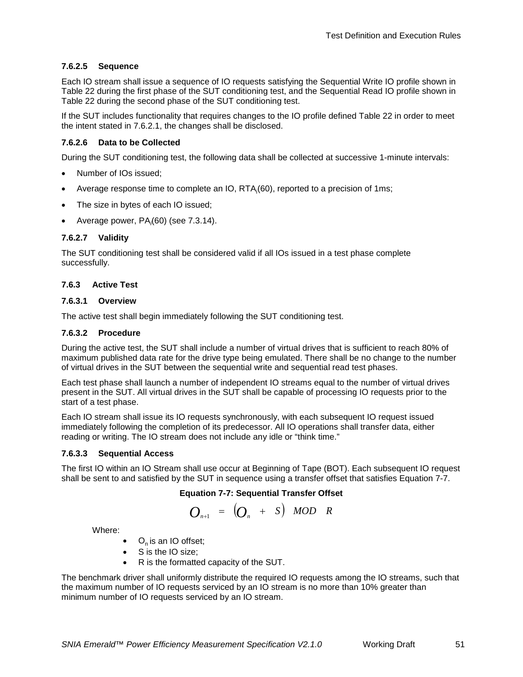## **7.6.2.5 Sequence**

Each IO stream shall issue a sequence of IO requests satisfying the Sequential Write IO profile shown in [Table 22](#page-49-0) during the first phase of the SUT conditioning test, and the Sequential Read IO profile shown in [Table 22](#page-49-0) during the second phase of the SUT conditioning test.

If the SUT includes functionality that requires changes to the IO profile defined [Table 22](#page-49-0) in order to meet the intent stated in [7.6.2.1,](#page-49-1) the changes shall be disclosed.

#### **7.6.2.6 Data to be Collected**

During the SUT conditioning test, the following data shall be collected at successive 1-minute intervals:

- Number of IOs issued;
- Average response time to complete an IO, RTA<sub>i</sub>(60), reported to a precision of 1ms;
- The size in bytes of each IO issued;
- Average power, PA*<sup>i</sup>* (60) (see [7.3.14\)](#page-33-4).

#### **7.6.2.7 Validity**

The SUT conditioning test shall be considered valid if all IOs issued in a test phase complete successfully.

#### **7.6.3 Active Test**

#### **7.6.3.1 Overview**

The active test shall begin immediately following the SUT conditioning test.

#### **7.6.3.2 Procedure**

During the active test, the SUT shall include a number of virtual drives that is sufficient to reach 80% of maximum published data rate for the drive type being emulated. There shall be no change to the number of virtual drives in the SUT between the sequential write and sequential read test phases.

Each test phase shall launch a number of independent IO streams equal to the number of virtual drives present in the SUT. All virtual drives in the SUT shall be capable of processing IO requests prior to the start of a test phase.

Each IO stream shall issue its IO requests synchronously, with each subsequent IO request issued immediately following the completion of its predecessor. All IO operations shall transfer data, either reading or writing. The IO stream does not include any idle or "think time."

#### **7.6.3.3 Sequential Access**

<span id="page-50-0"></span>The first IO within an IO Stream shall use occur at Beginning of Tape (BOT). Each subsequent IO request shall be sent to and satisfied by the SUT in sequence using a transfer offset that satisfies [Equation 7-7.](#page-50-0)

#### **Equation 7-7: Sequential Transfer Offset**

$$
O_{n+1} = \left( O_n + S \right) \quad \text{MOD} \quad R
$$

Where:

- $\bullet$  O<sub>n</sub> is an IO offset;
- S is the IO size;
- R is the formatted capacity of the SUT.

The benchmark driver shall uniformly distribute the required IO requests among the IO streams, such that the maximum number of IO requests serviced by an IO stream is no more than 10% greater than minimum number of IO requests serviced by an IO stream.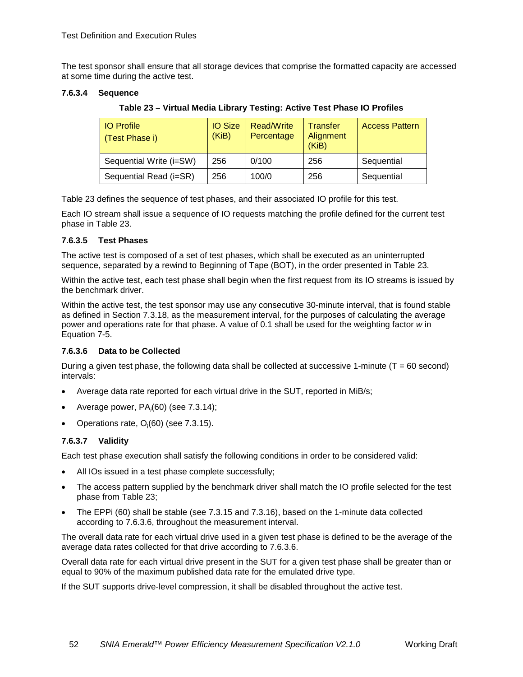The test sponsor shall ensure that all storage devices that comprise the formatted capacity are accessed at some time during the active test.

### <span id="page-51-0"></span>**7.6.3.4 Sequence**

**Table 23 – Virtual Media Library Testing: Active Test Phase IO Profiles**

| <b>IO Profile</b><br>(Test Phase i) | <b>IO Size</b><br>(KiB) | Read/Write<br>Percentage | <b>Transfer</b><br>Alignment<br>(KiB) | <b>Access Pattern</b> |
|-------------------------------------|-------------------------|--------------------------|---------------------------------------|-----------------------|
| Sequential Write (i=SW)             | 256                     | 0/100                    | 256                                   | Sequential            |
| Sequential Read (i=SR)              | 256                     | 100/0                    | 256                                   | Sequential            |

[Table 23](#page-51-0) defines the sequence of test phases, and their associated IO profile for this test.

Each IO stream shall issue a sequence of IO requests matching the profile defined for the current test phase in [Table 23.](#page-51-0)

#### **7.6.3.5 Test Phases**

The active test is composed of a set of test phases, which shall be executed as an uninterrupted sequence, separated by a rewind to Beginning of Tape (BOT), in the order presented in [Table 23.](#page-51-0)

Within the active test, each test phase shall begin when the first request from its IO streams is issued by the benchmark driver.

Within the active test, the test sponsor may use any consecutive 30-minute interval, that is found stable as defined in Section [7.3.18,](#page-34-0) as the measurement interval, for the purposes of calculating the average power and operations rate for that phase. A value of 0.1 shall be used for the weighting factor *w* in [Equation 7-5.](#page-35-2)

## <span id="page-51-1"></span>**7.6.3.6 Data to be Collected**

During a given test phase, the following data shall be collected at successive 1-minute ( $T = 60$  second) intervals:

- Average data rate reported for each virtual drive in the SUT, reported in MiB/s;
- Average power, PA*<sup>i</sup>* (60) (see [7.3.14\)](#page-33-4);
- Operations rate,  $O_i(60)$  (see [7.3.15\)](#page-33-5).

## **7.6.3.7 Validity**

Each test phase execution shall satisfy the following conditions in order to be considered valid:

- All IOs issued in a test phase complete successfully;
- The access pattern supplied by the benchmark driver shall match the IO profile selected for the test phase from [Table 23;](#page-51-0)
- The EPPi (60) shall be stable (see [7.3.15](#page-33-5) and [7.3.16\)](#page-33-3), based on the 1-minute data collected according to [7.6.3.6,](#page-51-1) throughout the measurement interval.

The overall data rate for each virtual drive used in a given test phase is defined to be the average of the average data rates collected for that drive according to [7.6.3.6.](#page-51-1)

Overall data rate for each virtual drive present in the SUT for a given test phase shall be greater than or equal to 90% of the maximum published data rate for the emulated drive type.

If the SUT supports drive-level compression, it shall be disabled throughout the active test.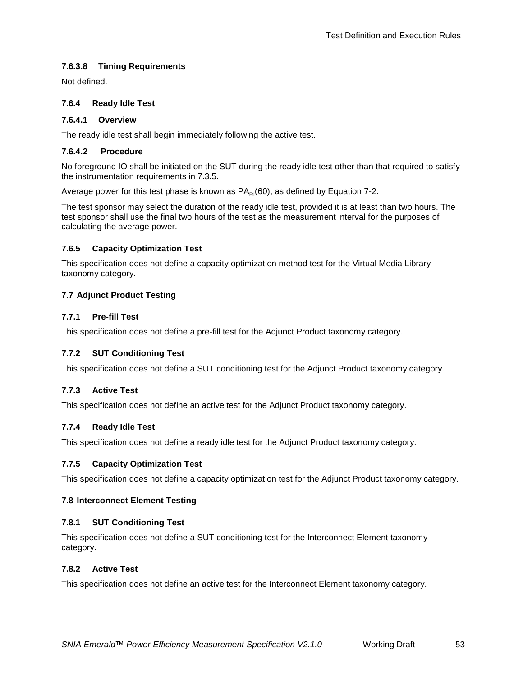## **7.6.3.8 Timing Requirements**

Not defined.

#### **7.6.4 Ready Idle Test**

#### **7.6.4.1 Overview**

The ready idle test shall begin immediately following the active test.

#### **7.6.4.2 Procedure**

No foreground IO shall be initiated on the SUT during the ready idle test other than that required to satisfy the instrumentation requirements in [7.3.5.](#page-28-3)

Average power for this test phase is known as  $PA<sub>RI</sub>(60)$ , as defined by [Equation 7-2.](#page-33-0)

The test sponsor may select the duration of the ready idle test, provided it is at least than two hours. The test sponsor shall use the final two hours of the test as the measurement interval for the purposes of calculating the average power.

## **7.6.5 Capacity Optimization Test**

This specification does not define a capacity optimization method test for the Virtual Media Library taxonomy category.

## <span id="page-52-0"></span>**7.7 Adjunct Product Testing**

#### **7.7.1 Pre-fill Test**

This specification does not define a pre-fill test for the Adjunct Product taxonomy category.

## **7.7.2 SUT Conditioning Test**

This specification does not define a SUT conditioning test for the Adjunct Product taxonomy category.

## **7.7.3 Active Test**

This specification does not define an active test for the Adjunct Product taxonomy category.

## **7.7.4 Ready Idle Test**

This specification does not define a ready idle test for the Adjunct Product taxonomy category.

## **7.7.5 Capacity Optimization Test**

This specification does not define a capacity optimization test for the Adjunct Product taxonomy category.

## <span id="page-52-1"></span>**7.8 Interconnect Element Testing**

#### **7.8.1 SUT Conditioning Test**

This specification does not define a SUT conditioning test for the Interconnect Element taxonomy category.

#### **7.8.2 Active Test**

This specification does not define an active test for the Interconnect Element taxonomy category.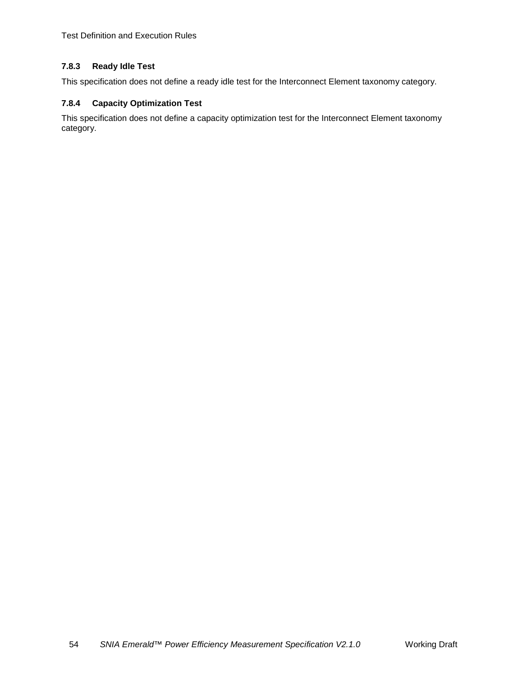[Test Definition and Execution](#page-27-0) Rules

## **7.8.3 Ready Idle Test**

This specification does not define a ready idle test for the Interconnect Element taxonomy category.

## **7.8.4 Capacity Optimization Test**

This specification does not define a capacity optimization test for the Interconnect Element taxonomy category.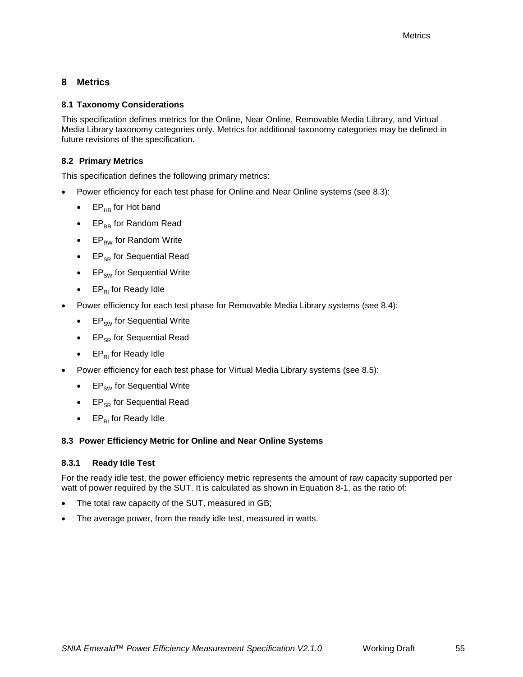## <span id="page-54-0"></span>**8 Metrics**

## <span id="page-54-1"></span>**8.1 Taxonomy Considerations**

This specification defines metrics for the Online, Near Online, Removable Media Library, and Virtual Media Library taxonomy categories only. Metrics for additional taxonomy categories may be defined in future revisions of the specification.

## <span id="page-54-5"></span><span id="page-54-2"></span>**8.2 Primary Metrics**

This specification defines the following primary metrics:

- Power efficiency for each test phase for Online and Near Online systems (see [8.3\)](#page-54-3):
	- $EP_{HB}$  for Hot band
	- EP<sub>RR</sub> for Random Read
	- $EP_{RW}$  for Random Write
	- $\bullet$  EP<sub>SR</sub> for Sequential Read
	- $\bullet$  EP<sub>SW</sub> for Sequential Write
	- $EP_{RI}$  for Ready Idle
- Power efficiency for each test phase for Removable Media Library systems (see [8.4\)](#page-55-0):
	- $\bullet$  EP<sub>SW</sub> for Sequential Write
	- $\bullet$  EP<sub>SR</sub> for Sequential Read
	- $EP_{R1}$  for Ready Idle
- Power efficiency for each test phase for Virtual Media Library systems (see [8.5\)](#page-56-0):
	- $\bullet$  EP<sub>SW</sub> for Sequential Write
	- $\bullet$  EP<sub>SR</sub> for Sequential Read
	- $EP_{R1}$  for Ready Idle

## <span id="page-54-3"></span>**8.3 Power Efficiency Metric for Online and Near Online Systems**

## <span id="page-54-4"></span>**8.3.1 Ready Idle Test**

For the ready idle test, the power efficiency metric represents the amount of raw capacity supported per watt of power required by the SUT. It is calculated as shown in [Equation 8-1,](#page-55-1) as the ratio of:

- The total raw capacity of the SUT, measured in GB;
- The average power, from the ready idle test, measured in watts.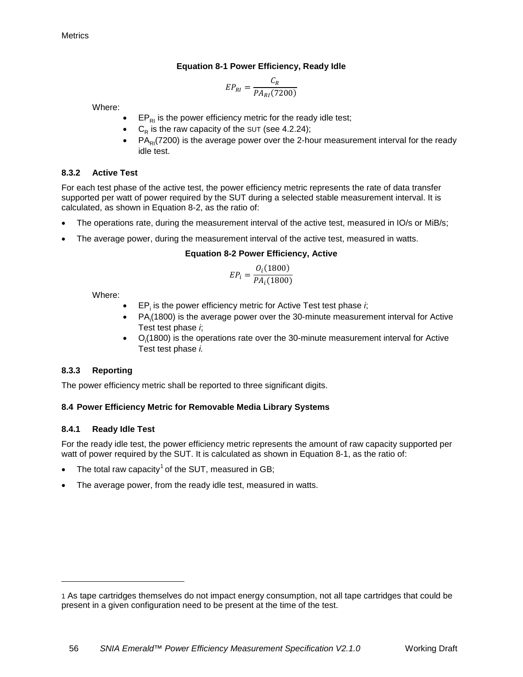## **Equation 8-1 Power Efficiency, Ready Idle**

$$
EP_{RI} = \frac{C_R}{PA_{RI}(7200)}
$$

<span id="page-55-1"></span>Where:

- $EP_{RI}$  is the power efficiency metric for the ready idle test;
- $C_R$  is the raw capacity of the SUT (see [4.2.24\)](#page-16-0);
- $PA<sub>RI</sub>(7200)$  is the average power over the 2-hour measurement interval for the ready idle test.

## **8.3.2 Active Test**

For each test phase of the active test, the power efficiency metric represents the rate of data transfer supported per watt of power required by the SUT during a selected stable measurement interval. It is calculated, as shown in [Equation 8-2,](#page-55-2) as the ratio of:

- The operations rate, during the measurement interval of the active test, measured in IO/s or MiB/s;
- <span id="page-55-2"></span>The average power, during the measurement interval of the active test, measured in watts.

## **Equation 8-2 Power Efficiency, Active**

$$
EP_i = \frac{O_i(1800)}{PA_i(1800)}
$$

Where:

- EP<sub>i</sub> is the power efficiency metric for Active Test test phase *i*;
- $PA_i(1800)$  is the average power over the 30-minute measurement interval for Active Test test phase *i*;
- $\bullet$   $O_i(1800)$  is the operations rate over the 30-minute measurement interval for Active Test test phase *i.*

## **8.3.3 Reporting**

The power efficiency metric shall be reported to three significant digits.

## <span id="page-55-0"></span>**8.4 Power Efficiency Metric for Removable Media Library Systems**

## **8.4.1 Ready Idle Test**

-

For the ready idle test, the power efficiency metric represents the amount of raw capacity supported per watt of power required by the SUT. It is calculated as shown in [Equation 8-1,](#page-55-1) as the ratio of:

- The total raw capacity<sup>[1](#page-55-3)</sup> of the SUT, measured in GB;
- The average power, from the ready idle test, measured in watts.

<span id="page-55-3"></span><sup>1</sup> As tape cartridges themselves do not impact energy consumption, not all tape cartridges that could be present in a given configuration need to be present at the time of the test.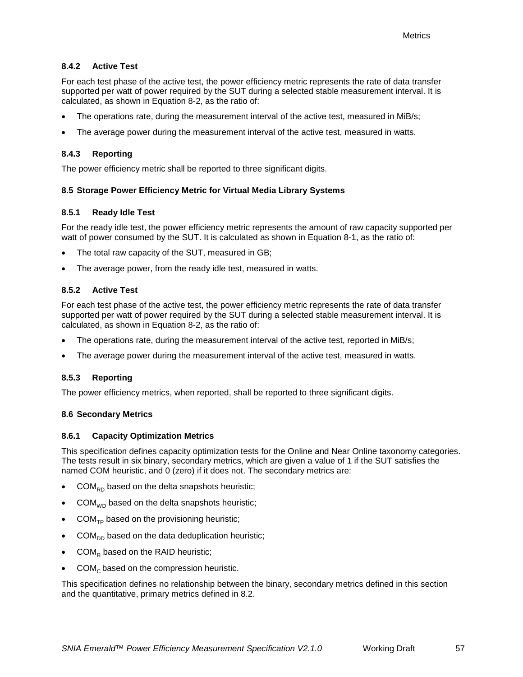## **8.4.2 Active Test**

For each test phase of the active test, the power efficiency metric represents the rate of data transfer supported per watt of power required by the SUT during a selected stable measurement interval. It is calculated, as shown in [Equation 8-2,](#page-55-2) as the ratio of:

- The operations rate, during the measurement interval of the active test, measured in MiB/s;
- The average power during the measurement interval of the active test, measured in watts.

## **8.4.3 Reporting**

The power efficiency metric shall be reported to three significant digits.

#### <span id="page-56-0"></span>**8.5 Storage Power Efficiency Metric for Virtual Media Library Systems**

#### **8.5.1 Ready Idle Test**

For the ready idle test, the power efficiency metric represents the amount of raw capacity supported per watt of power consumed by the SUT. It is calculated as shown in [Equation 8-1,](#page-55-1) as the ratio of:

- The total raw capacity of the SUT, measured in GB;
- The average power, from the ready idle test, measured in watts.

## **8.5.2 Active Test**

For each test phase of the active test, the power efficiency metric represents the rate of data transfer supported per watt of power required by the SUT during a selected stable measurement interval. It is calculated, as shown in [Equation 8-2,](#page-55-2) as the ratio of:

- The operations rate, during the measurement interval of the active test, reported in MiB/s;
- The average power during the measurement interval of the active test, measured in watts.

## **8.5.3 Reporting**

The power efficiency metrics, when reported, shall be reported to three significant digits.

#### <span id="page-56-1"></span>**8.6 Secondary Metrics**

#### <span id="page-56-2"></span>**8.6.1 Capacity Optimization Metrics**

This specification defines capacity optimization tests for the Online and Near Online taxonomy categories. The tests result in six binary, secondary metrics, which are given a value of 1 if the SUT satisfies the named COM heuristic, and 0 (zero) if it does not. The secondary metrics are:

- $COM<sub>RD</sub>$  based on the delta snapshots heuristic;
- $COM_{WD}$  based on the delta snapshots heuristic;
- $COM_{\tau_{\text{D}}}$  based on the provisioning heuristic;
- $COM<sub>DD</sub>$  based on the data deduplication heuristic;
- $COM_R$  based on the RAID heuristic;
- $COM<sub>c</sub>$  based on the compression heuristic.

This specification defines no relationship between the binary, secondary metrics defined in this section and the quantitative, primary metrics defined in [8.2.](#page-54-5)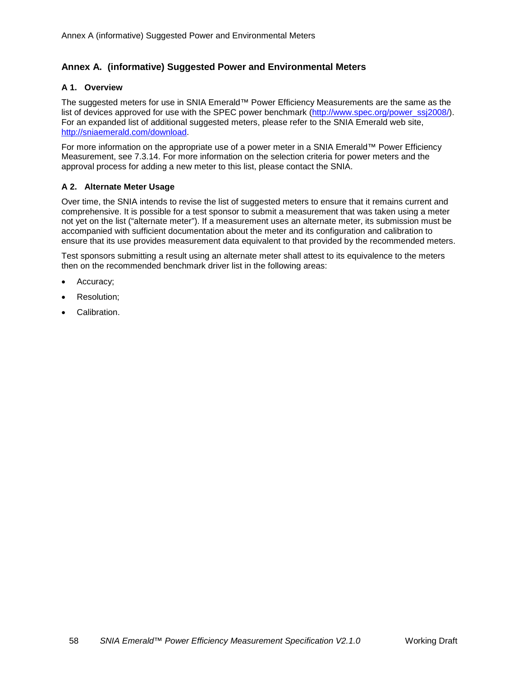## <span id="page-57-0"></span>**Annex A. (informative) Suggested Power and Environmental Meters**

#### **A 1. Overview**

The suggested meters for use in SNIA Emerald™ Power Efficiency Measurements are the same as the list of devices approved for use with the SPEC power benchmark [\(http://www.spec.org/power\\_ssj2008/\)](http://www.spec.org/power_ssj2008/). For an expanded list of additional suggested meters, please refer to the SNIA Emerald web site, [http://sniaemerald.com/download.](http://sniaemerald.com/download)

For more information on the appropriate use of a power meter in a SNIA Emerald™ Power Efficiency Measurement, see [7.3.14.](#page-33-4) For more information on the selection criteria for power meters and the approval process for adding a new meter to this list, please contact the SNIA.

#### **A 2. Alternate Meter Usage**

Over time, the SNIA intends to revise the list of suggested meters to ensure that it remains current and comprehensive. It is possible for a test sponsor to submit a measurement that was taken using a meter not yet on the list ("alternate meter"). If a measurement uses an alternate meter, its submission must be accompanied with sufficient documentation about the meter and its configuration and calibration to ensure that its use provides measurement data equivalent to that provided by the recommended meters.

Test sponsors submitting a result using an alternate meter shall attest to its equivalence to the meters then on the recommended benchmark driver list in the following areas:

- Accuracy;
- Resolution;
- Calibration.